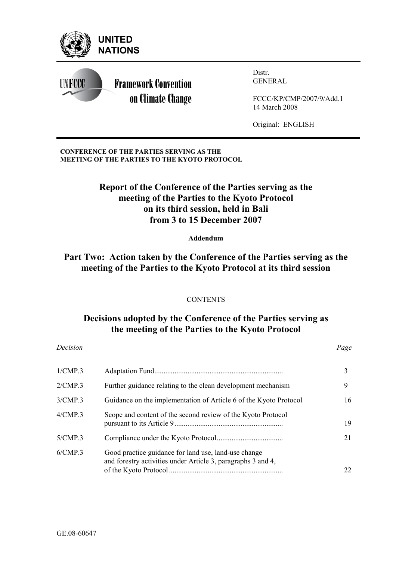

### **CONFERENCE OF THE PARTIES SERVING AS THE MEETING OF THE PARTIES TO THE KYOTO PROTOCOL**

# **Report of the Conference of the Parties serving as the meeting of the Parties to the Kyoto Protocol on its third session, held in Bali from 3 to 15 December 2007**

**Addendum** 

# **Part Two: Action taken by the Conference of the Parties serving as the meeting of the Parties to the Kyoto Protocol at its third session**

### **CONTENTS**

# **Decisions adopted by the Conference of the Parties serving as the meeting of the Parties to the Kyoto Protocol**

#### *Decision Page*

|                                                                                                                      | 3  |
|----------------------------------------------------------------------------------------------------------------------|----|
| Further guidance relating to the clean development mechanism                                                         | 9  |
| Guidance on the implementation of Article 6 of the Kyoto Protocol                                                    | 16 |
| Scope and content of the second review of the Kyoto Protocol                                                         | 19 |
|                                                                                                                      | 21 |
| Good practice guidance for land use, land-use change<br>and forestry activities under Article 3, paragraphs 3 and 4, | 22 |
|                                                                                                                      |    |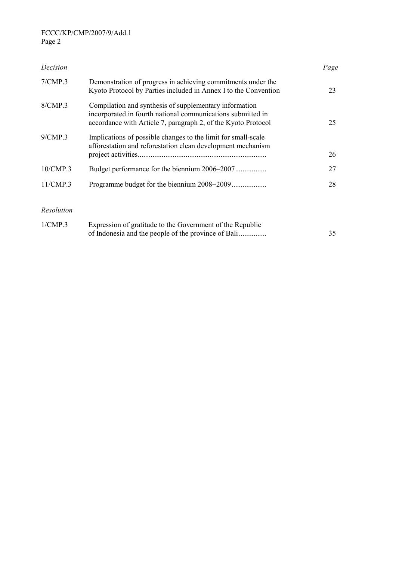### FCCC/KP/CMP/2007/9/Add.1 Page 2

| Decision   |                                                                                                                                                                                        | Page |
|------------|----------------------------------------------------------------------------------------------------------------------------------------------------------------------------------------|------|
| 7/CMP.3    | Demonstration of progress in achieving commitments under the<br>Kyoto Protocol by Parties included in Annex I to the Convention                                                        | 23   |
| 8/CMP.3    | Compilation and synthesis of supplementary information<br>incorporated in fourth national communications submitted in<br>accordance with Article 7, paragraph 2, of the Kyoto Protocol | 25   |
| 9/CMP.3    | Implications of possible changes to the limit for small-scale<br>afforestation and reforestation clean development mechanism                                                           | 26   |
| 10/CMP.3   |                                                                                                                                                                                        | 27   |
| 11/CMP.3   | Programme budget for the biennium 2008–2009                                                                                                                                            | 28   |
| Resolution |                                                                                                                                                                                        |      |

| 1/CMP.3 | Expression of gratitude to the Government of the Republic |  |
|---------|-----------------------------------------------------------|--|
|         |                                                           |  |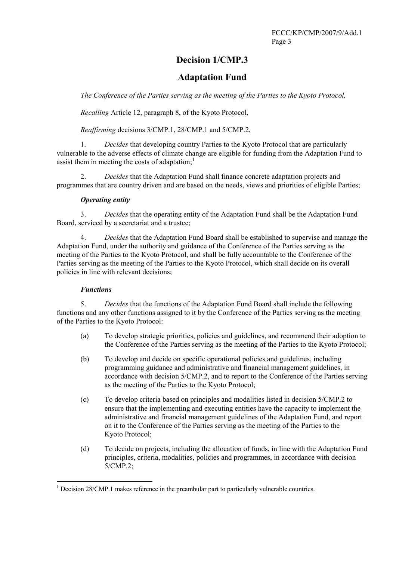# **Decision 1/CMP.3**

## **Adaptation Fund**

*The Conference of the Parties serving as the meeting of the Parties to the Kyoto Protocol,* 

*Recalling* Article 12, paragraph 8, of the Kyoto Protocol,

*Reaffirming* decisions 3/CMP.1, 28/CMP.1 and 5/CMP.2,

1. *Decides* that developing country Parties to the Kyoto Protocol that are particularly vulnerable to the adverse effects of climate change are eligible for funding from the Adaptation Fund to assist them in meeting the costs of adaptation; $<sup>1</sup>$ </sup>

2. *Decides* that the Adaptation Fund shall finance concrete adaptation projects and programmes that are country driven and are based on the needs, views and priorities of eligible Parties;

### *Operating entity*

3. *Decides* that the operating entity of the Adaptation Fund shall be the Adaptation Fund Board, serviced by a secretariat and a trustee;

4. *Decides* that the Adaptation Fund Board shall be established to supervise and manage the Adaptation Fund, under the authority and guidance of the Conference of the Parties serving as the meeting of the Parties to the Kyoto Protocol, and shall be fully accountable to the Conference of the Parties serving as the meeting of the Parties to the Kyoto Protocol, which shall decide on its overall policies in line with relevant decisions;

### *Functions*

 $\overline{a}$ 

5. *Decides* that the functions of the Adaptation Fund Board shall include the following functions and any other functions assigned to it by the Conference of the Parties serving as the meeting of the Parties to the Kyoto Protocol:

- (a) To develop strategic priorities, policies and guidelines, and recommend their adoption to the Conference of the Parties serving as the meeting of the Parties to the Kyoto Protocol;
- (b) To develop and decide on specific operational policies and guidelines, including programming guidance and administrative and financial management guidelines, in accordance with decision 5/CMP.2, and to report to the Conference of the Parties serving as the meeting of the Parties to the Kyoto Protocol;
- (c) To develop criteria based on principles and modalities listed in decision 5/CMP.2 to ensure that the implementing and executing entities have the capacity to implement the administrative and financial management guidelines of the Adaptation Fund, and report on it to the Conference of the Parties serving as the meeting of the Parties to the Kyoto Protocol;
- (d) To decide on projects, including the allocation of funds, in line with the Adaptation Fund principles, criteria, modalities, policies and programmes, in accordance with decision 5/CMP.2;

<sup>&</sup>lt;sup>1</sup> Decision 28/CMP.1 makes reference in the preambular part to particularly vulnerable countries.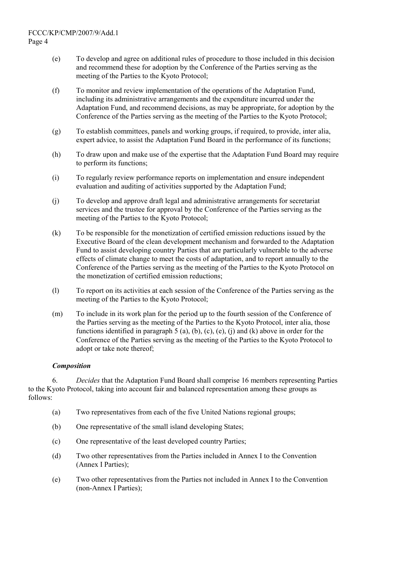- (e) To develop and agree on additional rules of procedure to those included in this decision and recommend these for adoption by the Conference of the Parties serving as the meeting of the Parties to the Kyoto Protocol;
- (f) To monitor and review implementation of the operations of the Adaptation Fund, including its administrative arrangements and the expenditure incurred under the Adaptation Fund, and recommend decisions, as may be appropriate, for adoption by the Conference of the Parties serving as the meeting of the Parties to the Kyoto Protocol;
- (g) To establish committees, panels and working groups, if required, to provide, inter alia, expert advice, to assist the Adaptation Fund Board in the performance of its functions;
- (h) To draw upon and make use of the expertise that the Adaptation Fund Board may require to perform its functions;
- (i) To regularly review performance reports on implementation and ensure independent evaluation and auditing of activities supported by the Adaptation Fund;
- (j) To develop and approve draft legal and administrative arrangements for secretariat services and the trustee for approval by the Conference of the Parties serving as the meeting of the Parties to the Kyoto Protocol;
- (k) To be responsible for the monetization of certified emission reductions issued by the Executive Board of the clean development mechanism and forwarded to the Adaptation Fund to assist developing country Parties that are particularly vulnerable to the adverse effects of climate change to meet the costs of adaptation, and to report annually to the Conference of the Parties serving as the meeting of the Parties to the Kyoto Protocol on the monetization of certified emission reductions;
- (l) To report on its activities at each session of the Conference of the Parties serving as the meeting of the Parties to the Kyoto Protocol;
- (m) To include in its work plan for the period up to the fourth session of the Conference of the Parties serving as the meeting of the Parties to the Kyoto Protocol, inter alia, those functions identified in paragraph  $5$  (a), (b), (c), (e), (j) and (k) above in order for the Conference of the Parties serving as the meeting of the Parties to the Kyoto Protocol to adopt or take note thereof;

### *Composition*

6. *Decides* that the Adaptation Fund Board shall comprise 16 members representing Parties to the Kyoto Protocol, taking into account fair and balanced representation among these groups as follows:

- (a) Two representatives from each of the five United Nations regional groups;
- (b) One representative of the small island developing States;
- (c) One representative of the least developed country Parties;
- (d) Two other representatives from the Parties included in Annex I to the Convention (Annex I Parties);
- (e) Two other representatives from the Parties not included in Annex I to the Convention (non-Annex I Parties);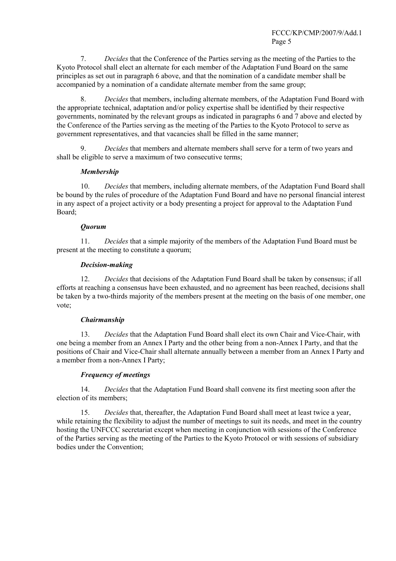7. *Decides* that the Conference of the Parties serving as the meeting of the Parties to the Kyoto Protocol shall elect an alternate for each member of the Adaptation Fund Board on the same principles as set out in paragraph 6 above, and that the nomination of a candidate member shall be accompanied by a nomination of a candidate alternate member from the same group;

8. *Decides* that members, including alternate members, of the Adaptation Fund Board with the appropriate technical, adaptation and/or policy expertise shall be identified by their respective governments, nominated by the relevant groups as indicated in paragraphs 6 and 7 above and elected by the Conference of the Parties serving as the meeting of the Parties to the Kyoto Protocol to serve as government representatives, and that vacancies shall be filled in the same manner;

9. *Decides* that members and alternate members shall serve for a term of two years and shall be eligible to serve a maximum of two consecutive terms;

#### *Membership*

10. *Decides* that members, including alternate members, of the Adaptation Fund Board shall be bound by the rules of procedure of the Adaptation Fund Board and have no personal financial interest in any aspect of a project activity or a body presenting a project for approval to the Adaptation Fund Board;

#### *Quorum*

11. *Decides* that a simple majority of the members of the Adaptation Fund Board must be present at the meeting to constitute a quorum;

#### *Decision-making*

12. *Decides* that decisions of the Adaptation Fund Board shall be taken by consensus; if all efforts at reaching a consensus have been exhausted, and no agreement has been reached, decisions shall be taken by a two-thirds majority of the members present at the meeting on the basis of one member, one vote;

#### *Chairmanship*

13. *Decides* that the Adaptation Fund Board shall elect its own Chair and Vice-Chair, with one being a member from an Annex I Party and the other being from a non-Annex I Party, and that the positions of Chair and Vice-Chair shall alternate annually between a member from an Annex I Party and a member from a non-Annex I Party;

#### *Frequency of meetings*

14. *Decides* that the Adaptation Fund Board shall convene its first meeting soon after the election of its members;

15. *Decides* that, thereafter, the Adaptation Fund Board shall meet at least twice a year, while retaining the flexibility to adjust the number of meetings to suit its needs, and meet in the country hosting the UNFCCC secretariat except when meeting in conjunction with sessions of the Conference of the Parties serving as the meeting of the Parties to the Kyoto Protocol or with sessions of subsidiary bodies under the Convention;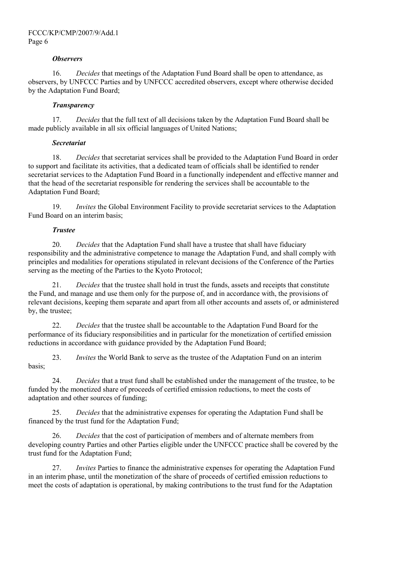#### *Observers*

16. *Decides* that meetings of the Adaptation Fund Board shall be open to attendance, as observers, by UNFCCC Parties and by UNFCCC accredited observers, except where otherwise decided by the Adaptation Fund Board;

#### *Transparency*

17. *Decides* that the full text of all decisions taken by the Adaptation Fund Board shall be made publicly available in all six official languages of United Nations;

#### *Secretariat*

18. *Decides* that secretariat services shall be provided to the Adaptation Fund Board in order to support and facilitate its activities, that a dedicated team of officials shall be identified to render secretariat services to the Adaptation Fund Board in a functionally independent and effective manner and that the head of the secretariat responsible for rendering the services shall be accountable to the Adaptation Fund Board;

19. *Invites* the Global Environment Facility to provide secretariat services to the Adaptation Fund Board on an interim basis;

#### *Trustee*

20. *Decides* that the Adaptation Fund shall have a trustee that shall have fiduciary responsibility and the administrative competence to manage the Adaptation Fund, and shall comply with principles and modalities for operations stipulated in relevant decisions of the Conference of the Parties serving as the meeting of the Parties to the Kyoto Protocol;

21. *Decides* that the trustee shall hold in trust the funds, assets and receipts that constitute the Fund, and manage and use them only for the purpose of, and in accordance with, the provisions of relevant decisions, keeping them separate and apart from all other accounts and assets of, or administered by, the trustee;

22. *Decides* that the trustee shall be accountable to the Adaptation Fund Board for the performance of its fiduciary responsibilities and in particular for the monetization of certified emission reductions in accordance with guidance provided by the Adaptation Fund Board;

23. *Invites* the World Bank to serve as the trustee of the Adaptation Fund on an interim basis;

24. *Decides* that a trust fund shall be established under the management of the trustee, to be funded by the monetized share of proceeds of certified emission reductions, to meet the costs of adaptation and other sources of funding;

25. *Decides* that the administrative expenses for operating the Adaptation Fund shall be financed by the trust fund for the Adaptation Fund;

26. *Decides* that the cost of participation of members and of alternate members from developing country Parties and other Parties eligible under the UNFCCC practice shall be covered by the trust fund for the Adaptation Fund;

27. *Invites* Parties to finance the administrative expenses for operating the Adaptation Fund in an interim phase, until the monetization of the share of proceeds of certified emission reductions to meet the costs of adaptation is operational, by making contributions to the trust fund for the Adaptation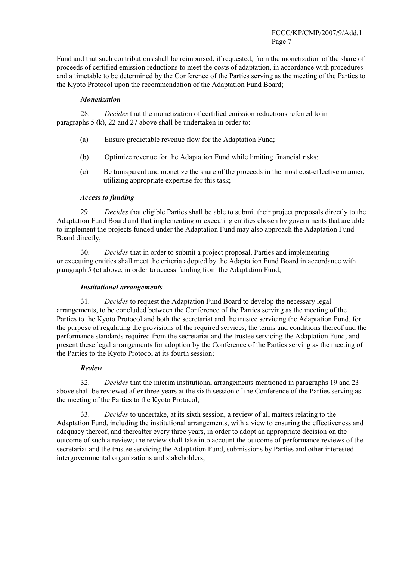#### FCCC/KP/CMP/2007/9/Add.1 Page 7

Fund and that such contributions shall be reimbursed, if requested, from the monetization of the share of proceeds of certified emission reductions to meet the costs of adaptation, in accordance with procedures and a timetable to be determined by the Conference of the Parties serving as the meeting of the Parties to the Kyoto Protocol upon the recommendation of the Adaptation Fund Board;

#### *Monetization*

28. *Decides* that the monetization of certified emission reductions referred to in paragraphs 5 (k), 22 and 27 above shall be undertaken in order to:

- (a) Ensure predictable revenue flow for the Adaptation Fund;
- (b) Optimize revenue for the Adaptation Fund while limiting financial risks;
- (c) Be transparent and monetize the share of the proceeds in the most cost-effective manner, utilizing appropriate expertise for this task;

#### *Access to funding*

29. *Decides* that eligible Parties shall be able to submit their project proposals directly to the Adaptation Fund Board and that implementing or executing entities chosen by governments that are able to implement the projects funded under the Adaptation Fund may also approach the Adaptation Fund Board directly;

30. *Decides* that in order to submit a project proposal, Parties and implementing or executing entities shall meet the criteria adopted by the Adaptation Fund Board in accordance with paragraph 5 (c) above, in order to access funding from the Adaptation Fund;

#### *Institutional arrangements*

31. *Decides* to request the Adaptation Fund Board to develop the necessary legal arrangements, to be concluded between the Conference of the Parties serving as the meeting of the Parties to the Kyoto Protocol and both the secretariat and the trustee servicing the Adaptation Fund, for the purpose of regulating the provisions of the required services, the terms and conditions thereof and the performance standards required from the secretariat and the trustee servicing the Adaptation Fund, and present these legal arrangements for adoption by the Conference of the Parties serving as the meeting of the Parties to the Kyoto Protocol at its fourth session;

#### *Review*

32. *Decides* that the interim institutional arrangements mentioned in paragraphs 19 and 23 above shall be reviewed after three years at the sixth session of the Conference of the Parties serving as the meeting of the Parties to the Kyoto Protocol;

33. *Decides* to undertake, at its sixth session, a review of all matters relating to the Adaptation Fund, including the institutional arrangements, with a view to ensuring the effectiveness and adequacy thereof, and thereafter every three years, in order to adopt an appropriate decision on the outcome of such a review; the review shall take into account the outcome of performance reviews of the secretariat and the trustee servicing the Adaptation Fund, submissions by Parties and other interested intergovernmental organizations and stakeholders;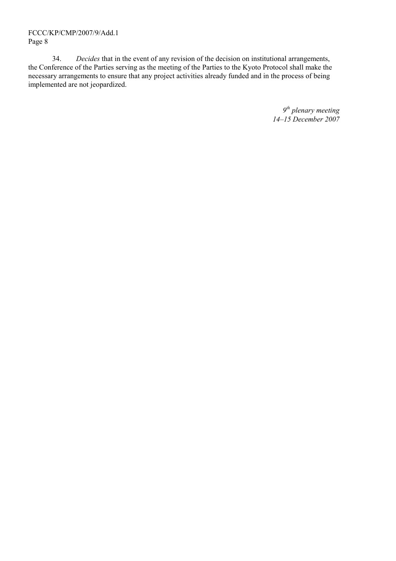### FCCC/KP/CMP/2007/9/Add.1 Page 8

34. *Decides* that in the event of any revision of the decision on institutional arrangements, the Conference of the Parties serving as the meeting of the Parties to the Kyoto Protocol shall make the necessary arrangements to ensure that any project activities already funded and in the process of being implemented are not jeopardized.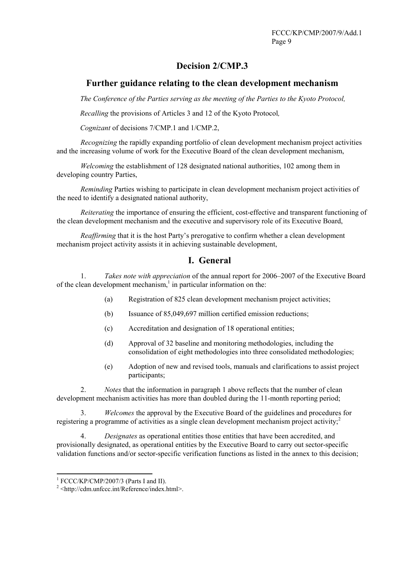## **Decision 2/CMP.3**

## **Further guidance relating to the clean development mechanism**

*The Conference of the Parties serving as the meeting of the Parties to the Kyoto Protocol,* 

*Recalling* the provisions of Articles 3 and 12 of the Kyoto Protocol*,* 

*Cognizant* of decisions 7/CMP.1 and 1/CMP.2,

*Recognizing* the rapidly expanding portfolio of clean development mechanism project activities and the increasing volume of work for the Executive Board of the clean development mechanism,

*Welcoming* the establishment of 128 designated national authorities, 102 among them in developing country Parties,

*Reminding* Parties wishing to participate in clean development mechanism project activities of the need to identify a designated national authority,

*Reiterating* the importance of ensuring the efficient, cost-effective and transparent functioning of the clean development mechanism and the executive and supervisory role of its Executive Board,

*Reaffirming* that it is the host Party's prerogative to confirm whether a clean development mechanism project activity assists it in achieving sustainable development,

### **I. General**

1. *Takes note with appreciation* of the annual report for 2006–2007 of the Executive Board of the clean development mechanism,<sup>1</sup> in particular information on the:

- (a) Registration of 825 clean development mechanism project activities;
- (b) Issuance of 85,049,697 million certified emission reductions;
- (c) Accreditation and designation of 18 operational entities;
- (d) Approval of 32 baseline and monitoring methodologies, including the consolidation of eight methodologies into three consolidated methodologies;
- (e) Adoption of new and revised tools, manuals and clarifications to assist project participants;

2. *Notes* that the information in paragraph 1 above reflects that the number of clean development mechanism activities has more than doubled during the 11-month reporting period;

3. *Welcomes* the approval by the Executive Board of the guidelines and procedures for registering a programme of activities as a single clean development mechanism project activity;  $\frac{2}{3}$ 

4. *Designates* as operational entities those entities that have been accredited, and provisionally designated, as operational entities by the Executive Board to carry out sector-specific validation functions and/or sector-specific verification functions as listed in the annex to this decision;

<sup>&</sup>lt;sup>1</sup> FCCC/KP/CMP/2007/3 (Parts I and II).

 $2$  <http://cdm.unfccc.int/Reference/index.html>.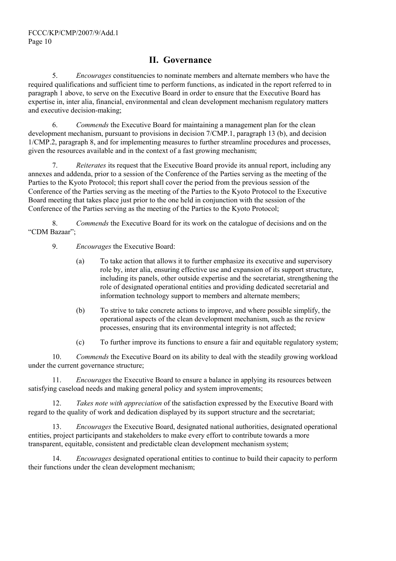## **II. Governance**

5. *Encourages* constituencies to nominate members and alternate members who have the required qualifications and sufficient time to perform functions, as indicated in the report referred to in paragraph 1 above, to serve on the Executive Board in order to ensure that the Executive Board has expertise in, inter alia, financial, environmental and clean development mechanism regulatory matters and executive decision-making;

6. *Commends* the Executive Board for maintaining a management plan for the clean development mechanism, pursuant to provisions in decision 7/CMP.1, paragraph 13 (b), and decision 1/CMP.2, paragraph 8, and for implementing measures to further streamline procedures and processes, given the resources available and in the context of a fast growing mechanism;

7. *Reiterates* its request that the Executive Board provide its annual report, including any annexes and addenda, prior to a session of the Conference of the Parties serving as the meeting of the Parties to the Kyoto Protocol; this report shall cover the period from the previous session of the Conference of the Parties serving as the meeting of the Parties to the Kyoto Protocol to the Executive Board meeting that takes place just prior to the one held in conjunction with the session of the Conference of the Parties serving as the meeting of the Parties to the Kyoto Protocol;

8. *Commends* the Executive Board for its work on the catalogue of decisions and on the "CDM Bazaar";

9. *Encourages* the Executive Board:

- (a) To take action that allows it to further emphasize its executive and supervisory role by, inter alia, ensuring effective use and expansion of its support structure, including its panels, other outside expertise and the secretariat, strengthening the role of designated operational entities and providing dedicated secretarial and information technology support to members and alternate members;
- (b) To strive to take concrete actions to improve, and where possible simplify, the operational aspects of the clean development mechanism, such as the review processes, ensuring that its environmental integrity is not affected;
- (c) To further improve its functions to ensure a fair and equitable regulatory system;

10. *Commends* the Executive Board on its ability to deal with the steadily growing workload under the current governance structure;

11. *Encourages* the Executive Board to ensure a balance in applying its resources between satisfying caseload needs and making general policy and system improvements;

12. *Takes note with appreciation* of the satisfaction expressed by the Executive Board with regard to the quality of work and dedication displayed by its support structure and the secretariat;

13. *Encourages* the Executive Board, designated national authorities, designated operational entities, project participants and stakeholders to make every effort to contribute towards a more transparent, equitable, consistent and predictable clean development mechanism system;

14. *Encourages* designated operational entities to continue to build their capacity to perform their functions under the clean development mechanism;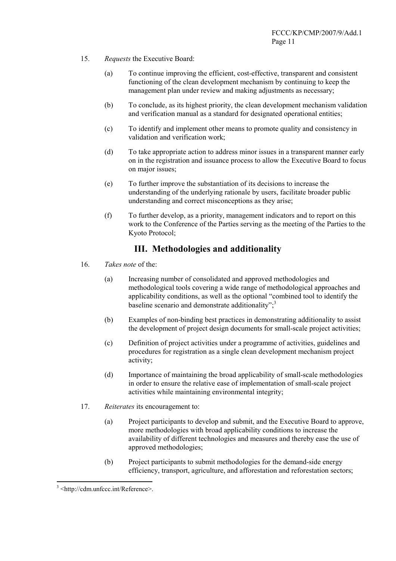- 15. *Requests* the Executive Board:
	- (a) To continue improving the efficient, cost-effective, transparent and consistent functioning of the clean development mechanism by continuing to keep the management plan under review and making adjustments as necessary;
	- (b) To conclude, as its highest priority, the clean development mechanism validation and verification manual as a standard for designated operational entities;
	- (c) To identify and implement other means to promote quality and consistency in validation and verification work;
	- (d) To take appropriate action to address minor issues in a transparent manner early on in the registration and issuance process to allow the Executive Board to focus on major issues;
	- (e) To further improve the substantiation of its decisions to increase the understanding of the underlying rationale by users, facilitate broader public understanding and correct misconceptions as they arise;
	- (f) To further develop, as a priority, management indicators and to report on this work to the Conference of the Parties serving as the meeting of the Parties to the Kyoto Protocol;

## **III. Methodologies and additionality**

- 16. *Takes note* of the:
	- (a) Increasing number of consolidated and approved methodologies and methodological tools covering a wide range of methodological approaches and applicability conditions, as well as the optional "combined tool to identify the baseline scenario and demonstrate additionality"; $3$
	- (b) Examples of non-binding best practices in demonstrating additionality to assist the development of project design documents for small-scale project activities;
	- (c) Definition of project activities under a programme of activities, guidelines and procedures for registration as a single clean development mechanism project activity;
	- (d) Importance of maintaining the broad applicability of small-scale methodologies in order to ensure the relative ease of implementation of small-scale project activities while maintaining environmental integrity;
- 17. *Reiterates* its encouragement to:
	- (a) Project participants to develop and submit, and the Executive Board to approve, more methodologies with broad applicability conditions to increase the availability of different technologies and measures and thereby ease the use of approved methodologies;
	- (b) Project participants to submit methodologies for the demand-side energy efficiency, transport, agriculture, and afforestation and reforestation sectors;

 $\overline{a}$ 

<sup>3</sup> <http://cdm.unfccc.int/Reference>.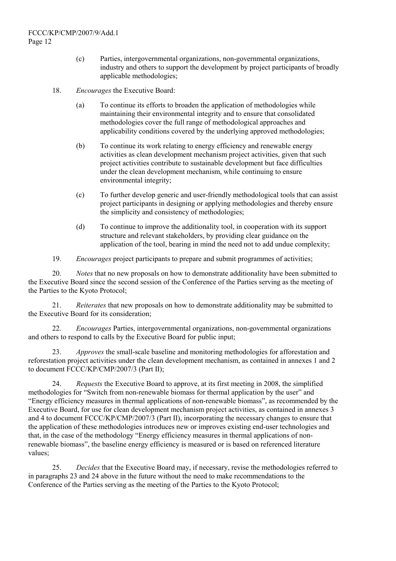- (c) Parties, intergovernmental organizations, non-governmental organizations, industry and others to support the development by project participants of broadly applicable methodologies;
- 18. *Encourages* the Executive Board:
	- (a) To continue its efforts to broaden the application of methodologies while maintaining their environmental integrity and to ensure that consolidated methodologies cover the full range of methodological approaches and applicability conditions covered by the underlying approved methodologies;
	- (b) To continue its work relating to energy efficiency and renewable energy activities as clean development mechanism project activities, given that such project activities contribute to sustainable development but face difficulties under the clean development mechanism, while continuing to ensure environmental integrity;
	- (c) To further develop generic and user-friendly methodological tools that can assist project participants in designing or applying methodologies and thereby ensure the simplicity and consistency of methodologies;
	- (d) To continue to improve the additionality tool, in cooperation with its support structure and relevant stakeholders, by providing clear guidance on the application of the tool, bearing in mind the need not to add undue complexity;
- 19. *Encourages* project participants to prepare and submit programmes of activities;

20. *Notes* that no new proposals on how to demonstrate additionality have been submitted to the Executive Board since the second session of the Conference of the Parties serving as the meeting of the Parties to the Kyoto Protocol;

21. *Reiterates* that new proposals on how to demonstrate additionality may be submitted to the Executive Board for its consideration;

22. *Encourages* Parties, intergovernmental organizations, non-governmental organizations and others to respond to calls by the Executive Board for public input;

23. *Approves* the small-scale baseline and monitoring methodologies for afforestation and reforestation project activities under the clean development mechanism, as contained in annexes 1 and 2 to document FCCC/KP/CMP/2007/3 (Part II);

24. *Requests* the Executive Board to approve, at its first meeting in 2008, the simplified methodologies for "Switch from non-renewable biomass for thermal application by the user" and "Energy efficiency measures in thermal applications of non-renewable biomass", as recommended by the Executive Board, for use for clean development mechanism project activities, as contained in annexes 3 and 4 to document FCCC/KP/CMP/2007/3 (Part II), incorporating the necessary changes to ensure that the application of these methodologies introduces new or improves existing end-user technologies and that, in the case of the methodology "Energy efficiency measures in thermal applications of nonrenewable biomass", the baseline energy efficiency is measured or is based on referenced literature values;

25. *Decides* that the Executive Board may, if necessary, revise the methodologies referred to in paragraphs 23 and 24 above in the future without the need to make recommendations to the Conference of the Parties serving as the meeting of the Parties to the Kyoto Protocol;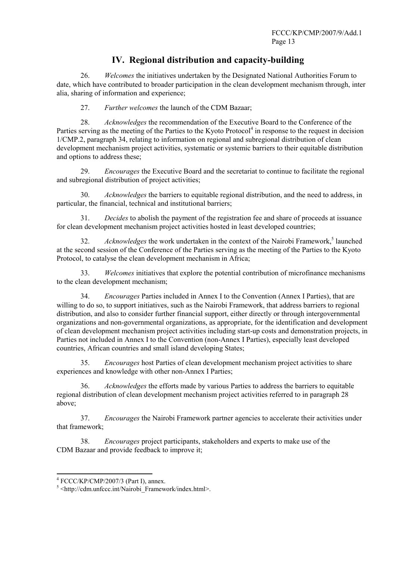## **IV. Regional distribution and capacity-building**

26. *Welcomes* the initiatives undertaken by the Designated National Authorities Forum to date, which have contributed to broader participation in the clean development mechanism through, inter alia, sharing of information and experience;

27. *Further welcomes* the launch of the CDM Bazaar;

28. *Acknowledges* the recommendation of the Executive Board to the Conference of the Parties serving as the meeting of the Parties to the Kyoto Protocol<sup>4</sup> in response to the request in decision 1/CMP.2, paragraph 34, relating to information on regional and subregional distribution of clean development mechanism project activities, systematic or systemic barriers to their equitable distribution and options to address these;

29. *Encourages* the Executive Board and the secretariat to continue to facilitate the regional and subregional distribution of project activities;

30. *Acknowledges* the barriers to equitable regional distribution, and the need to address, in particular, the financial, technical and institutional barriers;

31. *Decides* to abolish the payment of the registration fee and share of proceeds at issuance for clean development mechanism project activities hosted in least developed countries;

32. Acknowledges the work undertaken in the context of the Nairobi Framework,<sup>5</sup> launched at the second session of the Conference of the Parties serving as the meeting of the Parties to the Kyoto Protocol, to catalyse the clean development mechanism in Africa;

33. *Welcomes* initiatives that explore the potential contribution of microfinance mechanisms to the clean development mechanism;

34. *Encourages* Parties included in Annex I to the Convention (Annex I Parties), that are willing to do so, to support initiatives, such as the Nairobi Framework, that address barriers to regional distribution, and also to consider further financial support, either directly or through intergovernmental organizations and non-governmental organizations, as appropriate, for the identification and development of clean development mechanism project activities including start-up costs and demonstration projects, in Parties not included in Annex I to the Convention (non-Annex I Parties), especially least developed countries, African countries and small island developing States;

35. *Encourages* host Parties of clean development mechanism project activities to share experiences and knowledge with other non-Annex I Parties;

36. *Acknowledges* the efforts made by various Parties to address the barriers to equitable regional distribution of clean development mechanism project activities referred to in paragraph 28 above;

37. *Encourages* the Nairobi Framework partner agencies to accelerate their activities under that framework;

38. *Encourages* project participants, stakeholders and experts to make use of the CDM Bazaar and provide feedback to improve it;

 $^{4}$  FCCC/KP/CMP/2007/3 (Part I), annex.

 $5$  <http://cdm.unfccc.int/Nairobi\_Framework/index.html>.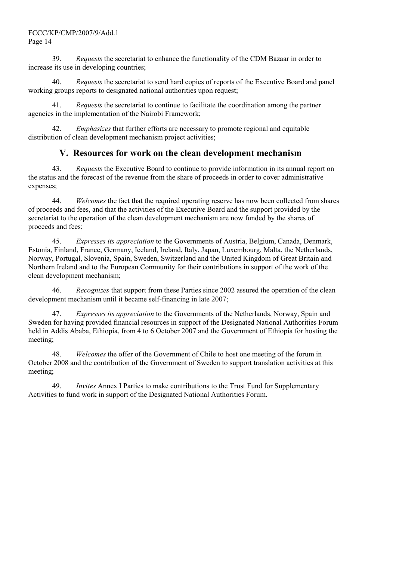### FCCC/KP/CMP/2007/9/Add.1 Page 14

39. *Requests* the secretariat to enhance the functionality of the CDM Bazaar in order to increase its use in developing countries;

40. *Requests* the secretariat to send hard copies of reports of the Executive Board and panel working groups reports to designated national authorities upon request;

41. *Requests* the secretariat to continue to facilitate the coordination among the partner agencies in the implementation of the Nairobi Framework;

42. *Emphasizes* that further efforts are necessary to promote regional and equitable distribution of clean development mechanism project activities;

## **V. Resources for work on the clean development mechanism**

43. *Requests* the Executive Board to continue to provide information in its annual report on the status and the forecast of the revenue from the share of proceeds in order to cover administrative expenses;

44. *Welcomes* the fact that the required operating reserve has now been collected from shares of proceeds and fees, and that the activities of the Executive Board and the support provided by the secretariat to the operation of the clean development mechanism are now funded by the shares of proceeds and fees;

45. *Expresses its appreciation* to the Governments of Austria, Belgium, Canada, Denmark, Estonia, Finland, France, Germany, Iceland, Ireland, Italy, Japan, Luxembourg, Malta, the Netherlands, Norway, Portugal, Slovenia, Spain, Sweden, Switzerland and the United Kingdom of Great Britain and Northern Ireland and to the European Community for their contributions in support of the work of the clean development mechanism;

46. *Recognizes* that support from these Parties since 2002 assured the operation of the clean development mechanism until it became self-financing in late 2007;

47. *Expresses its appreciation* to the Governments of the Netherlands, Norway, Spain and Sweden for having provided financial resources in support of the Designated National Authorities Forum held in Addis Ababa, Ethiopia, from 4 to 6 October 2007 and the Government of Ethiopia for hosting the meeting;

48. *Welcomes* the offer of the Government of Chile to host one meeting of the forum in October 2008 and the contribution of the Government of Sweden to support translation activities at this meeting;

49. *Invites* Annex I Parties to make contributions to the Trust Fund for Supplementary Activities to fund work in support of the Designated National Authorities Forum.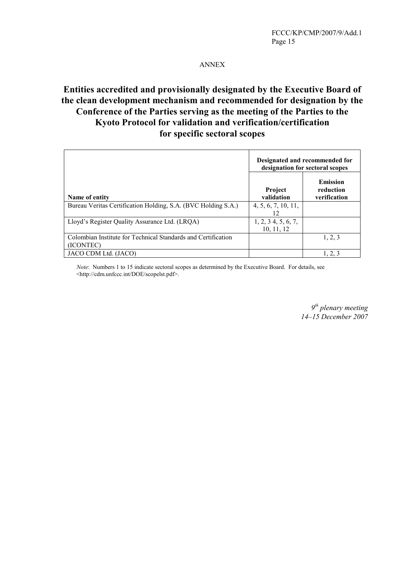### ANNEX

# **Entities accredited and provisionally designated by the Executive Board of the clean development mechanism and recommended for designation by the Conference of the Parties serving as the meeting of the Parties to the Kyoto Protocol for validation and verification/certification for specific sectoral scopes**

|                                                                            | Designated and recommended for<br>designation for sectoral scopes |                                              |
|----------------------------------------------------------------------------|-------------------------------------------------------------------|----------------------------------------------|
| Name of entity                                                             | <b>Project</b><br>validation                                      | <b>Emission</b><br>reduction<br>verification |
| Bureau Veritas Certification Holding, S.A. (BVC Holding S.A.)              | 4, 5, 6, 7, 10, 11,<br>12                                         |                                              |
| Lloyd's Register Quality Assurance Ltd. (LRQA)                             | 1, 2, 3, 4, 5, 6, 7,<br>10, 11, 12                                |                                              |
| Colombian Institute for Technical Standards and Certification<br>(ICONTEC) |                                                                   | 1, 2, 3                                      |
| JACO CDM Ltd. (JACO)                                                       |                                                                   | 1, 2, 3                                      |

 *Note*: Numbers 1 to 15 indicate sectoral scopes as determined by the Executive Board. For details, see <http://cdm.unfccc.int/DOE/scopelst.pdf>.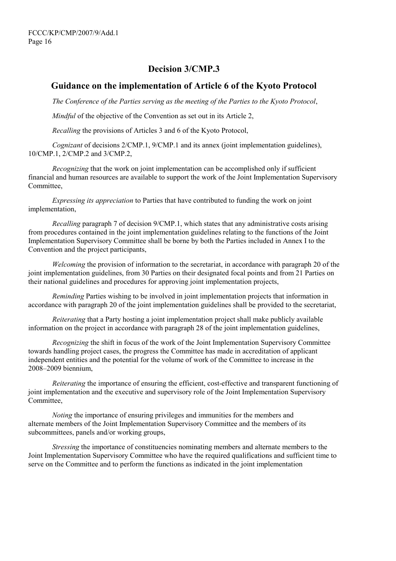## **Decision 3/CMP.3**

### **Guidance on the implementation of Article 6 of the Kyoto Protocol**

*The Conference of the Parties serving as the meeting of the Parties to the Kyoto Protocol*,

*Mindful* of the objective of the Convention as set out in its Article 2,

*Recalling* the provisions of Articles 3 and 6 of the Kyoto Protocol,

*Cognizant* of decisions 2/CMP.1, 9/CMP.1 and its annex (joint implementation guidelines), 10/CMP.1, 2/CMP.2 and 3/CMP.2,

*Recognizing* that the work on joint implementation can be accomplished only if sufficient financial and human resources are available to support the work of the Joint Implementation Supervisory Committee,

*Expressing its appreciation* to Parties that have contributed to funding the work on joint implementation,

*Recalling* paragraph 7 of decision 9/CMP.1, which states that any administrative costs arising from procedures contained in the joint implementation guidelines relating to the functions of the Joint Implementation Supervisory Committee shall be borne by both the Parties included in Annex I to the Convention and the project participants,

*Welcoming* the provision of information to the secretariat, in accordance with paragraph 20 of the joint implementation guidelines, from 30 Parties on their designated focal points and from 21 Parties on their national guidelines and procedures for approving joint implementation projects,

*Reminding* Parties wishing to be involved in joint implementation projects that information in accordance with paragraph 20 of the joint implementation guidelines shall be provided to the secretariat,

*Reiterating* that a Party hosting a joint implementation project shall make publicly available information on the project in accordance with paragraph 28 of the joint implementation guidelines,

*Recognizing* the shift in focus of the work of the Joint Implementation Supervisory Committee towards handling project cases, the progress the Committee has made in accreditation of applicant independent entities and the potential for the volume of work of the Committee to increase in the 2008–2009 biennium,

*Reiterating* the importance of ensuring the efficient, cost-effective and transparent functioning of joint implementation and the executive and supervisory role of the Joint Implementation Supervisory Committee,

*Noting* the importance of ensuring privileges and immunities for the members and alternate members of the Joint Implementation Supervisory Committee and the members of its subcommittees, panels and/or working groups,

*Stressing* the importance of constituencies nominating members and alternate members to the Joint Implementation Supervisory Committee who have the required qualifications and sufficient time to serve on the Committee and to perform the functions as indicated in the joint implementation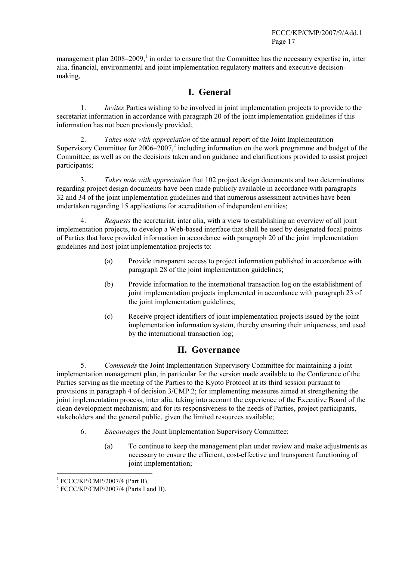management plan  $2008-2009$ ,<sup>1</sup> in order to ensure that the Committee has the necessary expertise in, inter alia, financial, environmental and joint implementation regulatory matters and executive decisionmaking,

# **I. General**

1. *Invites* Parties wishing to be involved in joint implementation projects to provide to the secretariat information in accordance with paragraph 20 of the joint implementation guidelines if this information has not been previously provided;

2. *Takes note with appreciation* of the annual report of the Joint Implementation Supervisory Committee for  $2006-2007$ , including information on the work programme and budget of the Committee, as well as on the decisions taken and on guidance and clarifications provided to assist project participants;

3. *Takes note with appreciation* that 102 project design documents and two determinations regarding project design documents have been made publicly available in accordance with paragraphs 32 and 34 of the joint implementation guidelines and that numerous assessment activities have been undertaken regarding 15 applications for accreditation of independent entities;

4. *Requests* the secretariat, inter alia, with a view to establishing an overview of all joint implementation projects, to develop a Web-based interface that shall be used by designated focal points of Parties that have provided information in accordance with paragraph 20 of the joint implementation guidelines and host joint implementation projects to:

- (a) Provide transparent access to project information published in accordance with paragraph 28 of the joint implementation guidelines;
- (b) Provide information to the international transaction log on the establishment of joint implementation projects implemented in accordance with paragraph 23 of the joint implementation guidelines;
- (c) Receive project identifiers of joint implementation projects issued by the joint implementation information system, thereby ensuring their uniqueness, and used by the international transaction log;

## **II. Governance**

5. *Commends* the Joint Implementation Supervisory Committee for maintaining a joint implementation management plan, in particular for the version made available to the Conference of the Parties serving as the meeting of the Parties to the Kyoto Protocol at its third session pursuant to provisions in paragraph 4 of decision 3/CMP.2; for implementing measures aimed at strengthening the joint implementation process, inter alia, taking into account the experience of the Executive Board of the clean development mechanism; and for its responsiveness to the needs of Parties, project participants, stakeholders and the general public, given the limited resources available;

- 6. *Encourages* the Joint Implementation Supervisory Committee:
	- (a) To continue to keep the management plan under review and make adjustments as necessary to ensure the efficient, cost-effective and transparent functioning of joint implementation;

<sup>&</sup>lt;sup>1</sup> FCCC/KP/CMP/2007/4 (Part II).<br><sup>2</sup> ECCC/KB/CMB/2007/4 (Parts La:

<sup>&</sup>lt;sup>2</sup> FCCC/KP/CMP/2007/4 (Parts I and II).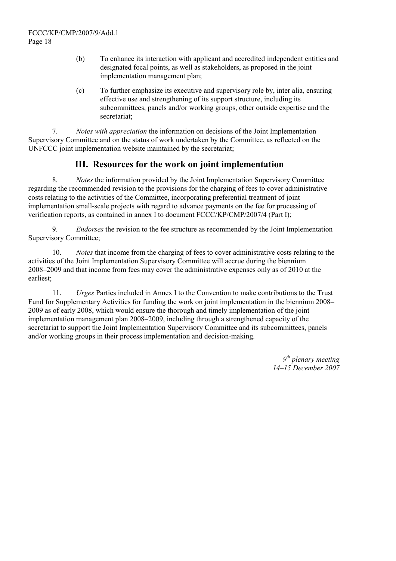- (b) To enhance its interaction with applicant and accredited independent entities and designated focal points, as well as stakeholders, as proposed in the joint implementation management plan;
- (c) To further emphasize its executive and supervisory role by, inter alia, ensuring effective use and strengthening of its support structure, including its subcommittees, panels and/or working groups, other outside expertise and the secretariat;

7. *Notes with appreciation* the information on decisions of the Joint Implementation Supervisory Committee and on the status of work undertaken by the Committee, as reflected on the UNFCCC joint implementation website maintained by the secretariat;

## **III. Resources for the work on joint implementation**

8. *Notes* the information provided by the Joint Implementation Supervisory Committee regarding the recommended revision to the provisions for the charging of fees to cover administrative costs relating to the activities of the Committee, incorporating preferential treatment of joint implementation small-scale projects with regard to advance payments on the fee for processing of verification reports, as contained in annex I to document FCCC/KP/CMP/2007/4 (Part I);

9. *Endorses* the revision to the fee structure as recommended by the Joint Implementation Supervisory Committee;

10. *Notes* that income from the charging of fees to cover administrative costs relating to the activities of the Joint Implementation Supervisory Committee will accrue during the biennium 2008–2009 and that income from fees may cover the administrative expenses only as of 2010 at the earliest;

11. *Urges* Parties included in Annex I to the Convention to make contributions to the Trust Fund for Supplementary Activities for funding the work on joint implementation in the biennium 2008– 2009 as of early 2008, which would ensure the thorough and timely implementation of the joint implementation management plan 2008–2009, including through a strengthened capacity of the secretariat to support the Joint Implementation Supervisory Committee and its subcommittees, panels and/or working groups in their process implementation and decision-making.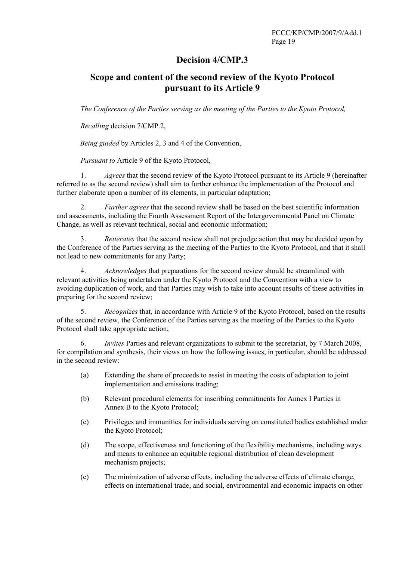## **Decision 4/CMP.3**

# **Scope and content of the second review of the Kyoto Protocol pursuant to its Article 9**

*The Conference of the Parties serving as the meeting of the Parties to the Kyoto Protocol,* 

 *Recalling* decision 7/CMP.2,

*Being guided* by Articles 2, 3 and 4 of the Convention,

 *Pursuant to* Article 9 of the Kyoto Protocol,

1. *Agrees* that the second review of the Kyoto Protocol pursuant to its Article 9 (hereinafter referred to as the second review) shall aim to further enhance the implementation of the Protocol and further elaborate upon a number of its elements, in particular adaptation;

2. *Further agrees* that the second review shall be based on the best scientific information and assessments, including the Fourth Assessment Report of the Intergovernmental Panel on Climate Change, as well as relevant technical, social and economic information;

3. *Reiterates* that the second review shall not prejudge action that may be decided upon by the Conference of the Parties serving as the meeting of the Parties to the Kyoto Protocol, and that it shall not lead to new commitments for any Party;

4. *Acknowledges* that preparations for the second review should be streamlined with relevant activities being undertaken under the Kyoto Protocol and the Convention with a view to avoiding duplication of work, and that Parties may wish to take into account results of these activities in preparing for the second review;

5. *Recognizes* that, in accordance with Article 9 of the Kyoto Protocol, based on the results of the second review, the Conference of the Parties serving as the meeting of the Parties to the Kyoto Protocol shall take appropriate action;

6. *Invites* Parties and relevant organizations to submit to the secretariat, by 7 March 2008, for compilation and synthesis, their views on how the following issues, in particular, should be addressed in the second review:

- (a) Extending the share of proceeds to assist in meeting the costs of adaptation to joint implementation and emissions trading;
- (b) Relevant procedural elements for inscribing commitments for Annex I Parties in Annex B to the Kyoto Protocol;
- (c) Privileges and immunities for individuals serving on constituted bodies established under the Kyoto Protocol;
- (d) The scope, effectiveness and functioning of the flexibility mechanisms, including ways and means to enhance an equitable regional distribution of clean development mechanism projects;
- (e) The minimization of adverse effects, including the adverse effects of climate change, effects on international trade, and social, environmental and economic impacts on other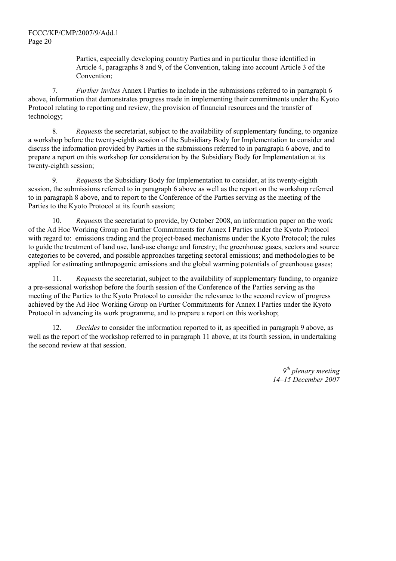Parties, especially developing country Parties and in particular those identified in Article 4, paragraphs 8 and 9, of the Convention, taking into account Article 3 of the Convention;

7. *Further invites* Annex I Parties to include in the submissions referred to in paragraph 6 above, information that demonstrates progress made in implementing their commitments under the Kyoto Protocol relating to reporting and review, the provision of financial resources and the transfer of technology;

8. *Requests* the secretariat, subject to the availability of supplementary funding, to organize a workshop before the twenty-eighth session of the Subsidiary Body for Implementation to consider and discuss the information provided by Parties in the submissions referred to in paragraph 6 above, and to prepare a report on this workshop for consideration by the Subsidiary Body for Implementation at its twenty-eighth session;

9. *Requests* the Subsidiary Body for Implementation to consider, at its twenty-eighth session, the submissions referred to in paragraph 6 above as well as the report on the workshop referred to in paragraph 8 above, and to report to the Conference of the Parties serving as the meeting of the Parties to the Kyoto Protocol at its fourth session;

10. *Requests* the secretariat to provide, by October 2008, an information paper on the work of the Ad Hoc Working Group on Further Commitments for Annex I Parties under the Kyoto Protocol with regard to: emissions trading and the project-based mechanisms under the Kyoto Protocol; the rules to guide the treatment of land use, land-use change and forestry; the greenhouse gases, sectors and source categories to be covered, and possible approaches targeting sectoral emissions; and methodologies to be applied for estimating anthropogenic emissions and the global warming potentials of greenhouse gases;

11. *Requests* the secretariat, subject to the availability of supplementary funding, to organize a pre-sessional workshop before the fourth session of the Conference of the Parties serving as the meeting of the Parties to the Kyoto Protocol to consider the relevance to the second review of progress achieved by the Ad Hoc Working Group on Further Commitments for Annex I Parties under the Kyoto Protocol in advancing its work programme, and to prepare a report on this workshop;

12. *Decides* to consider the information reported to it, as specified in paragraph 9 above, as well as the report of the workshop referred to in paragraph 11 above, at its fourth session, in undertaking the second review at that session.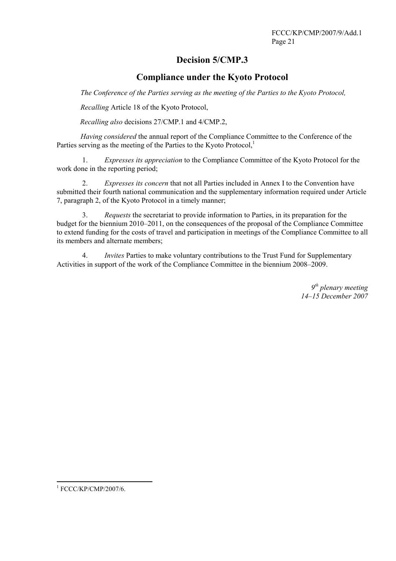# **Decision 5/CMP.3**

## **Compliance under the Kyoto Protocol**

*The Conference of the Parties serving as the meeting of the Parties to the Kyoto Protocol,* 

 *Recalling* Article 18 of the Kyoto Protocol,

*Recalling also* decisions 27/CMP.1 and 4/CMP.2,

*Having considered* the annual report of the Compliance Committee to the Conference of the Parties serving as the meeting of the Parties to the Kyoto Protocol,<sup>1</sup>

1. *Expresses its appreciation* to the Compliance Committee of the Kyoto Protocol for the work done in the reporting period;

2. *Expresses its concern* that not all Parties included in Annex I to the Convention have submitted their fourth national communication and the supplementary information required under Article 7, paragraph 2, of the Kyoto Protocol in a timely manner;

3. *Requests* the secretariat to provide information to Parties, in its preparation for the budget for the biennium 2010–2011, on the consequences of the proposal of the Compliance Committee to extend funding for the costs of travel and participation in meetings of the Compliance Committee to all its members and alternate members;

4. *Invites* Parties to make voluntary contributions to the Trust Fund for Supplementary Activities in support of the work of the Compliance Committee in the biennium 2008–2009.

> *9th plenary meeting 14–15 December 2007*

 $\overline{a}$ 

<sup>1</sup> FCCC/KP/CMP/2007/6.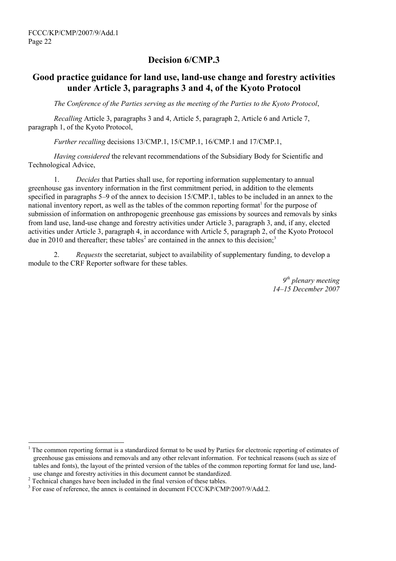## **Decision 6/CMP.3**

## **Good practice guidance for land use, land-use change and forestry activities under Article 3, paragraphs 3 and 4, of the Kyoto Protocol**

*The Conference of the Parties serving as the meeting of the Parties to the Kyoto Protocol*,

*Recalling* Article 3, paragraphs 3 and 4, Article 5, paragraph 2, Article 6 and Article 7, paragraph 1, of the Kyoto Protocol,

*Further recalling* decisions 13/CMP.1, 15/CMP.1, 16/CMP.1 and 17/CMP.1,

*Having considered* the relevant recommendations of the Subsidiary Body for Scientific and Technological Advice,

1. *Decides* that Parties shall use, for reporting information supplementary to annual greenhouse gas inventory information in the first commitment period, in addition to the elements specified in paragraphs 5–9 of the annex to decision 15/CMP.1, tables to be included in an annex to the national inventory report, as well as the tables of the common reporting format<sup>1</sup> for the purpose of submission of information on anthropogenic greenhouse gas emissions by sources and removals by sinks from land use, land-use change and forestry activities under Article 3, paragraph 3, and, if any, elected activities under Article 3, paragraph 4, in accordance with Article 5, paragraph 2, of the Kyoto Protocol due in 2010 and thereafter; these tables<sup>2</sup> are contained in the annex to this decision;<sup>3</sup>

2. *Requests* the secretariat, subject to availability of supplementary funding, to develop a module to the CRF Reporter software for these tables.

> *9th plenary meeting 14–15 December 2007*

 $\overline{\phantom{a}}$ 

<sup>1</sup> The common reporting format is a standardized format to be used by Parties for electronic reporting of estimates of greenhouse gas emissions and removals and any other relevant information. For technical reasons (such as size of tables and fonts), the layout of the printed version of the tables of the common reporting format for land use, land use change and forestry activities in this document cannot be standardized.

<sup>&</sup>lt;sup>2</sup> Technical changes have been included in the final version of these tables.

 $3$  For ease of reference, the annex is contained in document FCCC/KP/CMP/2007/9/Add.2.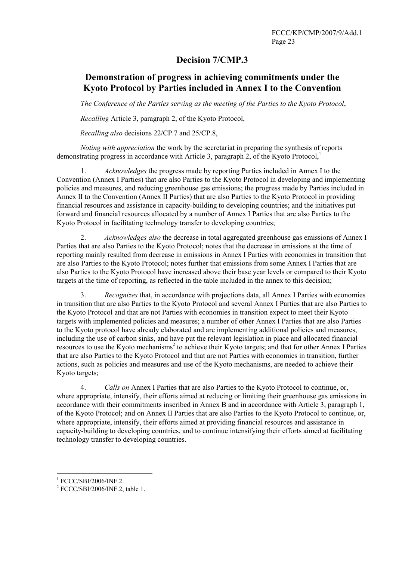## **Decision 7/CMP.3**

# **Demonstration of progress in achieving commitments under the Kyoto Protocol by Parties included in Annex I to the Convention**

*The Conference of the Parties serving as the meeting of the Parties to the Kyoto Protocol*,

*Recalling* Article 3, paragraph 2, of the Kyoto Protocol,

*Recalling also* decisions 22/CP.7 and 25/CP.8,

*Noting with appreciation* the work by the secretariat in preparing the synthesis of reports demonstrating progress in accordance with Article 3, paragraph 2, of the Kyoto Protocol,<sup>1</sup>

1. *Acknowledges* the progress made by reporting Parties included in Annex I to the Convention (Annex I Parties) that are also Parties to the Kyoto Protocol in developing and implementing policies and measures, and reducing greenhouse gas emissions; the progress made by Parties included in Annex II to the Convention (Annex II Parties) that are also Parties to the Kyoto Protocol in providing financial resources and assistance in capacity-building to developing countries; and the initiatives put forward and financial resources allocated by a number of Annex I Parties that are also Parties to the Kyoto Protocol in facilitating technology transfer to developing countries;

2. *Acknowledges also* the decrease in total aggregated greenhouse gas emissions of Annex I Parties that are also Parties to the Kyoto Protocol; notes that the decrease in emissions at the time of reporting mainly resulted from decrease in emissions in Annex I Parties with economies in transition that are also Parties to the Kyoto Protocol; notes further that emissions from some Annex I Parties that are also Parties to the Kyoto Protocol have increased above their base year levels or compared to their Kyoto targets at the time of reporting, as reflected in the table included in the annex to this decision;

3. *Recognizes* that, in accordance with projections data, all Annex I Parties with economies in transition that are also Parties to the Kyoto Protocol and several Annex I Parties that are also Parties to the Kyoto Protocol and that are not Parties with economies in transition expect to meet their Kyoto targets with implemented policies and measures; a number of other Annex I Parties that are also Parties to the Kyoto protocol have already elaborated and are implementing additional policies and measures, including the use of carbon sinks, and have put the relevant legislation in place and allocated financial resources to use the Kyoto mechanisms<sup>2</sup> to achieve their Kyoto targets; and that for other Annex I Parties that are also Parties to the Kyoto Protocol and that are not Parties with economies in transition, further actions, such as policies and measures and use of the Kyoto mechanisms, are needed to achieve their Kyoto targets;

4. *Calls on* Annex I Parties that are also Parties to the Kyoto Protocol to continue, or, where appropriate, intensify, their efforts aimed at reducing or limiting their greenhouse gas emissions in accordance with their commitments inscribed in Annex B and in accordance with Article 3, paragraph 1, of the Kyoto Protocol; and on Annex II Parties that are also Parties to the Kyoto Protocol to continue, or, where appropriate, intensify, their efforts aimed at providing financial resources and assistance in capacity-building to developing countries, and to continue intensifying their efforts aimed at facilitating technology transfer to developing countries.

 $^{1}$  FCCC/SBI/2006/INF.2.

FCCC/SBI/2006/INF.2, table 1.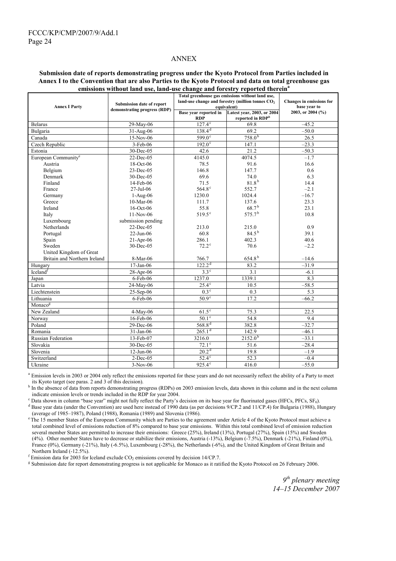#### ANNEX

#### **Submission date of reports demonstrating progress under the Kyoto Protocol from Parties included in Annex I to the Convention that are also Parties to the Kyoto Protocol and data on total greenhouse gas emissions without land use, land-use change and forestry reported therein<sup>a</sup>**

| ennssions without failu use, failu-use change and forestly reported therein<br>Total greenhouse gas emissions without land use, |                              |                       |                                                    |                          |
|---------------------------------------------------------------------------------------------------------------------------------|------------------------------|-----------------------|----------------------------------------------------|--------------------------|
|                                                                                                                                 |                              |                       | land-use change and forestry (million tonnes $CO2$ | Changes in emissions for |
| <b>Annex I Party</b>                                                                                                            | Submission date of report    | equivalent)           | base year to                                       |                          |
|                                                                                                                                 | demonstrating progress (RDP) | Base year reported in | Latest year, 2003, or 2004                         | 2003, or 2004 (%)        |
|                                                                                                                                 |                              | <b>RDP</b>            | reported in RDP <sup>b</sup>                       |                          |
| <b>Belarus</b>                                                                                                                  | 29-May-06                    | $127.4^{\circ}$       | 69.8                                               | $-45.2$                  |
| Bulgaria                                                                                                                        | $31 - \text{Aug-}06$         | $138.4^{d}$           | 69.2                                               | $-50.0$                  |
| Canada                                                                                                                          | 15-Nov-06                    | $599.0^{\circ}$       | $758.0^{b}$                                        | 26.5                     |
| Czech Republic                                                                                                                  | $3-Feb-06$                   | $192.0^\circ$         | 147.1                                              | $-23.3$                  |
| Estonia                                                                                                                         | 30-Dec-05                    | 42.6                  | 21.2                                               | $-50.3$                  |
| European Community <sup>e</sup>                                                                                                 | 22-Dec-05                    | 4145.0                | 4074.5                                             | $-1.7$                   |
| Austria                                                                                                                         | 18-Oct-06                    | 78.5                  | 91.6                                               | 16.6                     |
| Belgium                                                                                                                         | 23-Dec-05                    | 146.8                 | 147.7                                              | 0.6                      |
| Denmark                                                                                                                         | 30-Dec-05                    | 69.6                  | 74.0                                               | 6.3                      |
| Finland                                                                                                                         | 14-Feb-06                    | 71.5                  | $81.8^{b}$                                         | 14.4                     |
| France                                                                                                                          | 27-Jul-06                    | $564.8^{\circ}$       | 552.7                                              | $-2.1$                   |
| Germany                                                                                                                         | $1-Aug-06$                   | 1230.0                | 1024.4                                             | $-16.7$                  |
| Greece                                                                                                                          | $10-Mar-06$                  | 111.7                 | 137.6                                              | 23.3                     |
| Ireland                                                                                                                         | 16-Oct-06                    | 55.8                  | 68.7 <sup>b</sup>                                  | 23.1                     |
| Italy                                                                                                                           | 11-Nov-06                    | $519.5^{\circ}$       | 575.7 <sup>b</sup>                                 | 10.8                     |
| Luxembourg                                                                                                                      | submission pending           |                       |                                                    |                          |
| Netherlands                                                                                                                     | 22-Dec-05                    | 213.0                 | 215.0                                              | 0.9                      |
| Portugal                                                                                                                        | $22-Jun-06$                  | 60.8                  | $84.5^{b}$                                         | 39.1                     |
| Spain                                                                                                                           | $21-Apr-06$                  | 286.1                 | 402.3                                              | 40.6                     |
| Sweden                                                                                                                          | 30-Dec-05                    | $72.2^{\circ}$        | 70.6                                               | $-2.2$                   |
| United Kingdom of Great                                                                                                         |                              |                       |                                                    |                          |
| Britain and Northern Ireland                                                                                                    | 8-Mar-06                     | 766.7                 | 654.8 <sup>b</sup>                                 | $-14.6$                  |
| Hungary                                                                                                                         | $17-Jan-06$                  | 122.2 <sup>d</sup>    | 83.2                                               | $-31.9$                  |
| $I$ celand <sup><math>t</math></sup>                                                                                            | 28-Apr-06                    | $3.3^\circ$           | 3.1                                                | $-6.1$                   |
| Japan                                                                                                                           | 6-Feb-06                     | 1237.0                | 1339.1                                             | 8.3                      |
| Latvia                                                                                                                          | 24-May-06                    | $25.4^\circ$          | 10.5                                               | $-58.5$                  |
| Liechtenstein                                                                                                                   | $25-Sep-06$                  | $0.3^{\circ}$         | 0.3                                                | 5.3                      |
| Lithuania                                                                                                                       | 6-Feb-06                     | 50.9 <sup>c</sup>     | 17.2                                               | $-66.2$                  |
| Monaco <sup>g</sup>                                                                                                             |                              |                       |                                                    |                          |
| New Zealand                                                                                                                     | $4-May-06$                   | $61.5^\circ$          | 75.3                                               | 22.5                     |
| Norway                                                                                                                          | 16-Feb-06                    | $50.1^\circ$          | 54.8                                               | 9.4                      |
| Poland                                                                                                                          | 29-Dec-06                    | $568.8^{d}$           | 382.8                                              | $-32.7$                  |
| Romania                                                                                                                         | 31-Jan-06                    | 265.1 <sup>d</sup>    | 142.9                                              | $-46.1$                  |
| Russian Federation                                                                                                              | 13-Feb-07                    | 3216.0                | $2152.0^{b}$                                       | $-33.1$                  |
| Slovakia                                                                                                                        | 30-Dec-05                    | $72.1^\circ$          | 51.6                                               | $-28.4$                  |
| Slovenia                                                                                                                        | $12$ -Jun-06                 | 20.2 <sup>d</sup>     | 19.8                                               | $-1.9$                   |
| Switzerland                                                                                                                     | $2$ -Dec-05                  | $52.4^\circ$          | 52.3                                               | $-0.4$                   |
| Ukraine                                                                                                                         | $3-Nov-06$                   | $925.4^{\circ}$       | 416.0                                              | $-55.0$                  |

<sup>a</sup> Emission levels in 2003 or 2004 only reflect the emissions reported for these years and do not necessarily reflect the ability of a Party to meet its Kyoto target (see paras. 2 and 3 of this decision).

<sup>b</sup> In the absence of data from reports demonstrating progress (RDPs) on 2003 emission levels, data shown in this column and in the next column indicate emission levels or trends included in the RDP for year 2004.

Exploration of the Content of Data shown in column "base year" might not fully reflect the Party's decision on its base year for fluorinated gases (HFCs, PFCs, SF<sub>6</sub>).<br><sup>d</sup> Base year data (under the Convention) are used he

Base year data (under the Convention) are used here instead of 1990 data (as per decisions 9/CP.2 and 11/CP.4) for Bulgaria (1988), Hungary (average of 1985–1987), Poland (1988), Romania (1989) and Slovenia (1986).

<sup>e</sup> The 15 member States of the European Community which are Parties to the agreement under Article 4 of the Kyoto Protocol must achieve a total combined level of emissions reduction of 8% compared to base year emissions. Within this total combined level of emission reduction several member States are permitted to increase their emissions: Greece (25%), Ireland (13%), Portugal (27%), Spain (15%) and Sweden (4%). Other member States have to decrease or stabilize their emissions, Austria (-13%), Belgium (-7.5%), Denmark (-21%), Finland (0%), France (0%), Germany (-21%), Italy (-6.5%), Luxembourg (-28%), the Netherlands (-6%), and the United Kingdom of Great Britain and Northern Ireland (-12.5%).

 $f_{\text{E}}$  Emission data for 2003 for Iceland exclude CO<sub>2</sub> emissions covered by decision 14/CP.7.

Submission date for report demonstrating progress is not applicable for Monaco as it ratified the Kyoto Protocol on 26 February 2006.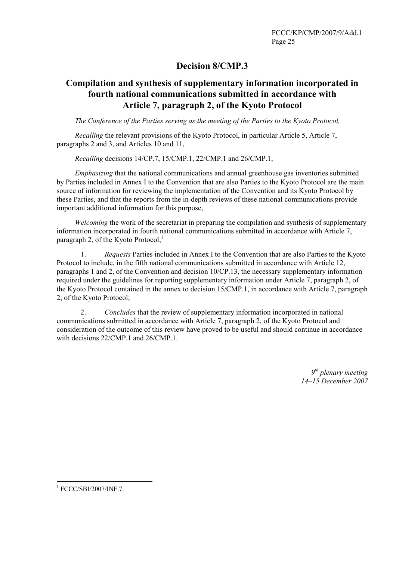# **Decision 8/CMP.3**

# **Compilation and synthesis of supplementary information incorporated in fourth national communications submitted in accordance with Article 7, paragraph 2, of the Kyoto Protocol**

*The Conference of the Parties serving as the meeting of the Parties to the Kyoto Protocol,* 

*Recalling* the relevant provisions of the Kyoto Protocol, in particular Article 5, Article 7, paragraphs 2 and 3, and Articles 10 and 11,

*Recalling* decisions 14/CP.7, 15/CMP.1, 22/CMP.1 and 26/CMP.1,

*Emphasizing* that the national communications and annual greenhouse gas inventories submitted by Parties included in Annex I to the Convention that are also Parties to the Kyoto Protocol are the main source of information for reviewing the implementation of the Convention and its Kyoto Protocol by these Parties, and that the reports from the in-depth reviews of these national communications provide important additional information for this purpose,

*Welcoming* the work of the secretariat in preparing the compilation and synthesis of supplementary information incorporated in fourth national communications submitted in accordance with Article 7, paragraph 2, of the Kyoto Protocol, $<sup>1</sup>$ </sup>

1. *Requests* Parties included in Annex I to the Convention that are also Parties to the Kyoto Protocol to include, in the fifth national communications submitted in accordance with Article 12, paragraphs 1 and 2, of the Convention and decision 10/CP.13, the necessary supplementary information required under the guidelines for reporting supplementary information under Article 7, paragraph 2, of the Kyoto Protocol contained in the annex to decision 15/CMP.1, in accordance with Article 7, paragraph 2, of the Kyoto Protocol;

2. *Concludes* that the review of supplementary information incorporated in national communications submitted in accordance with Article 7, paragraph 2, of the Kyoto Protocol and consideration of the outcome of this review have proved to be useful and should continue in accordance with decisions 22/CMP.1 and 26/CMP.1.

> *9th plenary meeting 14–15 December 2007*

 $\overline{a}$ 

<sup>1</sup> FCCC/SBI/2007/INF.7.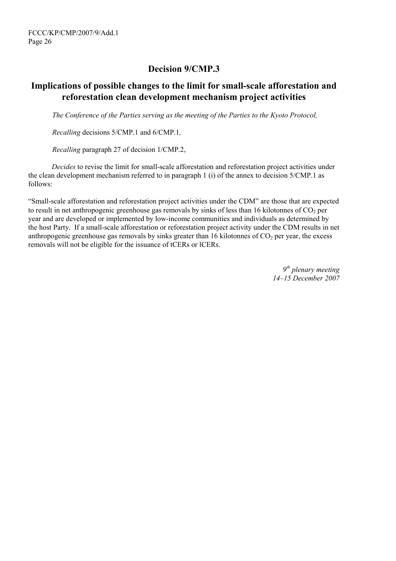# **Decision 9/CMP.3**

## **Implications of possible changes to the limit for small-scale afforestation and reforestation clean development mechanism project activities**

*The Conference of the Parties serving as the meeting of the Parties to the Kyoto Protocol,* 

*Recalling* decisions 5/CMP.1 and 6/CMP.1*,*

*Recalling* paragraph 27 of decision 1/CMP.2,

*Decides* to revise the limit for small-scale afforestation and reforestation project activities under the clean development mechanism referred to in paragraph 1 (i) of the annex to decision 5/CMP.1 as follows:

"Small-scale afforestation and reforestation project activities under the CDM" are those that are expected to result in net anthropogenic greenhouse gas removals by sinks of less than 16 kilotonnes of  $CO<sub>2</sub>$  per year and are developed or implemented by low-income communities and individuals as determined by the host Party. If a small-scale afforestation or reforestation project activity under the CDM results in net anthropogenic greenhouse gas removals by sinks greater than 16 kilotonnes of  $CO<sub>2</sub>$  per year, the excess removals will not be eligible for the issuance of tCERs or lCERs.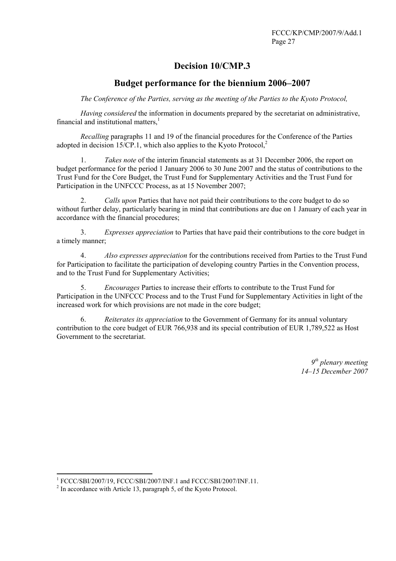# **Decision 10/CMP.3**

## **Budget performance for the biennium 2006–2007**

*The Conference of the Parties, serving as the meeting of the Parties to the Kyoto Protocol,* 

*Having considered* the information in documents prepared by the secretariat on administrative, financial and institutional matters.<sup>1</sup>

*Recalling* paragraphs 11 and 19 of the financial procedures for the Conference of the Parties adopted in decision 15/CP.1, which also applies to the Kyoto Protocol,<sup>2</sup>

1. *Takes note* of the interim financial statements as at 31 December 2006, the report on budget performance for the period 1 January 2006 to 30 June 2007 and the status of contributions to the Trust Fund for the Core Budget, the Trust Fund for Supplementary Activities and the Trust Fund for Participation in the UNFCCC Process, as at 15 November 2007;

2. *Calls upon* Parties that have not paid their contributions to the core budget to do so without further delay, particularly bearing in mind that contributions are due on 1 January of each year in accordance with the financial procedures;

3. *Expresses appreciation* to Parties that have paid their contributions to the core budget in a timely manner;

4. *Also expresses appreciation* for the contributions received from Parties to the Trust Fund for Participation to facilitate the participation of developing country Parties in the Convention process, and to the Trust Fund for Supplementary Activities;

5. *Encourages* Parties to increase their efforts to contribute to the Trust Fund for Participation in the UNFCCC Process and to the Trust Fund for Supplementary Activities in light of the increased work for which provisions are not made in the core budget;

6. *Reiterates its appreciation* to the Government of Germany for its annual voluntary contribution to the core budget of EUR 766,938 and its special contribution of EUR 1,789,522 as Host Government to the secretariat.

 $\frac{1}{2}$  FCCC/SBI/2007/19, FCCC/SBI/2007/INF.1 and FCCC/SBI/2007/INF.11.

 $2$  In accordance with Article 13, paragraph 5, of the Kyoto Protocol.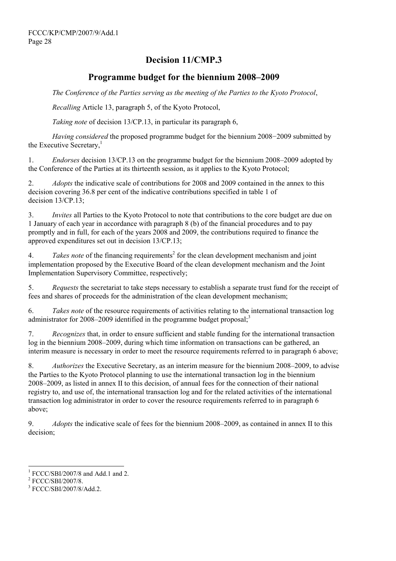# **Decision 11/CMP.3**

## **Programme budget for the biennium 2008–2009**

 *The Conference of the Parties serving as the meeting of the Parties to the Kyoto Protocol*,

 *Recalling* Article 13, paragraph 5, of the Kyoto Protocol,

 *Taking note* of decision 13/CP.13, in particular its paragraph 6,

*Having considered* the proposed programme budget for the biennium 2008−2009 submitted by the Executive Secretary,<sup>1</sup>

1. *Endorses* decision 13/CP.13 on the programme budget for the biennium 2008–2009 adopted by the Conference of the Parties at its thirteenth session, as it applies to the Kyoto Protocol;

2. *Adopts* the indicative scale of contributions for 2008 and 2009 contained in the annex to this decision covering 36.8 per cent of the indicative contributions specified in table 1 of decision 13/CP.13;

3. *Invites* all Parties to the Kyoto Protocol to note that contributions to the core budget are due on 1 January of each year in accordance with paragraph 8 (b) of the financial procedures and to pay promptly and in full, for each of the years 2008 and 2009, the contributions required to finance the approved expenditures set out in decision 13/CP.13;

4. Takes note of the financing requirements<sup>2</sup> for the clean development mechanism and joint implementation proposed by the Executive Board of the clean development mechanism and the Joint Implementation Supervisory Committee, respectively;

5. *Requests* the secretariat to take steps necessary to establish a separate trust fund for the receipt of fees and shares of proceeds for the administration of the clean development mechanism;

6. *Takes note* of the resource requirements of activities relating to the international transaction log administrator for  $2008-2009$  identified in the programme budget proposal;<sup>3</sup>

7. *Recognizes* that, in order to ensure sufficient and stable funding for the international transaction log in the biennium 2008–2009, during which time information on transactions can be gathered, an interim measure is necessary in order to meet the resource requirements referred to in paragraph 6 above;

8. *Authorizes* the Executive Secretary, as an interim measure for the biennium 2008–2009, to advise the Parties to the Kyoto Protocol planning to use the international transaction log in the biennium 2008–2009, as listed in annex II to this decision, of annual fees for the connection of their national registry to, and use of, the international transaction log and for the related activities of the international transaction log administrator in order to cover the resource requirements referred to in paragraph 6 above;

9. *Adopts* the indicative scale of fees for the biennium 2008–2009, as contained in annex II to this decision;

 $\overline{\phantom{a}}$ 

<sup>&</sup>lt;sup>1</sup> FCCC/SBI/2007/8 and Add.1 and 2.<br><sup>2</sup> ECCC/SDI/2007/9

 $2$  FCCC/SBI/2007/8.

<sup>&</sup>lt;sup>3</sup> FCCC/SBI/2007/8/Add.2.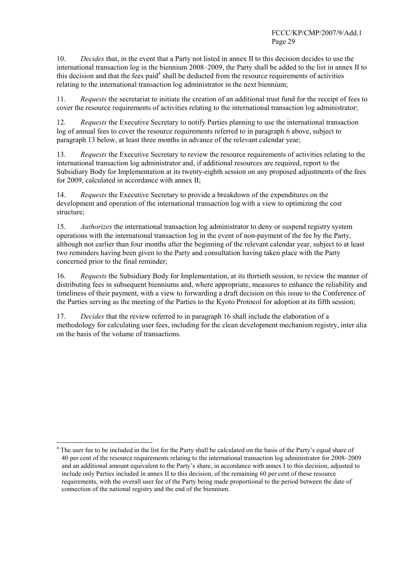10. *Decides* that, in the event that a Party not listed in annex II to this decision decides to use the international transaction log in the biennium 2008–2009, the Party shall be added to the list in annex II to this decision and that the fees paid<sup>4</sup> shall be deducted from the resource requirements of activities relating to the international transaction log administrator in the next biennium;

11. *Requests* the secretariat to initiate the creation of an additional trust fund for the receipt of fees to cover the resource requirements of activities relating to the international transaction log administrator;

12. *Requests* the Executive Secretary to notify Parties planning to use the international transaction log of annual fees to cover the resource requirements referred to in paragraph 6 above, subject to paragraph 13 below, at least three months in advance of the relevant calendar year;

13. *Requests* the Executive Secretary to review the resource requirements of activities relating to the international transaction log administrator and, if additional resources are required, report to the Subsidiary Body for Implementation at its twenty-eighth session on any proposed adjustments of the fees for 2009, calculated in accordance with annex II;

14. *Requests* the Executive Secretary to provide a breakdown of the expenditures on the development and operation of the international transaction log with a view to optimizing the cost structure;

15. *Authorizes* the international transaction log administrator to deny or suspend registry system operations with the international transaction log in the event of non-payment of the fee by the Party, although not earlier than four months after the beginning of the relevant calendar year, subject to at least two reminders having been given to the Party and consultation having taken place with the Party concerned prior to the final reminder;

16. *Requests* the Subsidiary Body for Implementation, at its thirtieth session, to review the manner of distributing fees in subsequent bienniums and, where appropriate, measures to enhance the reliability and timeliness of their payment, with a view to forwarding a draft decision on this issue to the Conference of the Parties serving as the meeting of the Parties to the Kyoto Protocol for adoption at its fifth session;

17. *Decides* that the review referred to in paragraph 16 shall include the elaboration of a methodology for calculating user fees, including for the clean development mechanism registry, inter alia on the basis of the volume of transactions.

 $\overline{a}$ 

<sup>4</sup> The user fee to be included in the list for the Party shall be calculated on the basis of the Party's equal share of 40 per cent of the resource requirements relating to the international transaction log administrator for 2008–2009 and an additional amount equivalent to the Party's share, in accordance with annex I to this decision, adjusted to include only Parties included in annex II to this decision, of the remaining 60 per cent of these resource requirements, with the overall user fee of the Party being made proportional to the period between the date of connection of the national registry and the end of the biennium.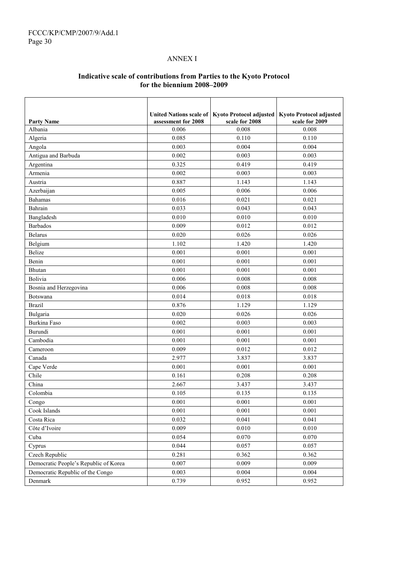.

### ANNEX I

### **Indicative scale of contributions from Parties to the Kyoto Protocol for the biennium 2008–2009**

| <b>Party Name</b>                     | assessment for 2008 | United Nations scale of   Kyoto Protocol adjusted<br>scale for 2008 | <b>Kyoto Protocol adjusted</b><br>scale for 2009 |
|---------------------------------------|---------------------|---------------------------------------------------------------------|--------------------------------------------------|
| Albania                               | 0.006               | 0.008                                                               | 0.008                                            |
| Algeria                               | 0.085               | 0.110                                                               | 0.110                                            |
| Angola                                | 0.003               | 0.004                                                               | 0.004                                            |
| Antigua and Barbuda                   | 0.002               | 0.003                                                               | 0.003                                            |
| Argentina                             | 0.325               | 0.419                                                               | 0.419                                            |
| Armenia                               | 0.002               | 0.003                                                               | 0.003                                            |
| Austria                               | 0.887               | 1.143                                                               | 1.143                                            |
| Azerbaijan                            | 0.005               | 0.006                                                               | 0.006                                            |
| <b>Bahamas</b>                        | 0.016               | 0.021                                                               | 0.021                                            |
| Bahrain                               | 0.033               | 0.043                                                               | 0.043                                            |
| Bangladesh                            | 0.010               | 0.010                                                               | 0.010                                            |
| <b>Barbados</b>                       | 0.009               | 0.012                                                               | 0.012                                            |
| <b>Belarus</b>                        | 0.020               | 0.026                                                               | 0.026                                            |
| Belgium                               | 1.102               | 1.420                                                               | 1.420                                            |
| <b>Belize</b>                         | 0.001               | 0.001                                                               | 0.001                                            |
| Benin                                 | 0.001               | 0.001                                                               | 0.001                                            |
| Bhutan                                | 0.001               | 0.001                                                               | 0.001                                            |
| Bolivia                               | 0.006               | 0.008                                                               | 0.008                                            |
| Bosnia and Herzegovina                | 0.006               | 0.008                                                               | 0.008                                            |
| Botswana                              | 0.014               | 0.018                                                               | 0.018                                            |
| <b>Brazil</b>                         | 0.876               | 1.129                                                               | 1.129                                            |
| Bulgaria                              | 0.020               | 0.026                                                               | 0.026                                            |
| Burkina Faso                          | 0.002               | 0.003                                                               | 0.003                                            |
| Burundi                               | 0.001               | 0.001                                                               | 0.001                                            |
| Cambodia                              | 0.001               | 0.001                                                               | 0.001                                            |
| Cameroon                              | 0.009               | 0.012                                                               | 0.012                                            |
| Canada                                | 2.977               | 3.837                                                               | 3.837                                            |
| Cape Verde                            | 0.001               | 0.001                                                               | 0.001                                            |
| Chile                                 | 0.161               | 0.208                                                               | 0.208                                            |
| China                                 | 2.667               | 3.437                                                               | 3.437                                            |
| Colombia                              | 0.105               | 0.135                                                               | 0.135                                            |
| Congo                                 | 0.001               | 0.001                                                               | 0.001                                            |
| Cook Islands                          | 0.001               | 0.001                                                               | 0.001                                            |
| Costa Rica                            | 0.032               | 0.041                                                               | 0.041                                            |
| Côte d'Ivoire                         | 0.009               | 0.010                                                               | 0.010                                            |
| Cuba                                  | 0.054               | 0.070                                                               | 0.070                                            |
| Cyprus                                | 0.044               | 0.057                                                               | 0.057                                            |
| Czech Republic                        | 0.281               | 0.362                                                               | 0.362                                            |
| Democratic People's Republic of Korea | 0.007               | 0.009                                                               | 0.009                                            |
| Democratic Republic of the Congo      | 0.003               | 0.004                                                               | 0.004                                            |
| Denmark                               | 0.739               | 0.952                                                               | 0.952                                            |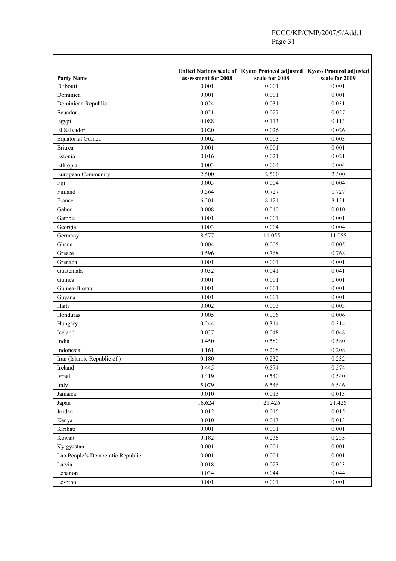|                                            |                     | United Nations scale of   Kyoto Protocol adjusted   Kyoto Protocol adjusted |                |
|--------------------------------------------|---------------------|-----------------------------------------------------------------------------|----------------|
| <b>Party Name</b>                          | assessment for 2008 | scale for 2008                                                              | scale for 2009 |
| Djibouti                                   | 0.001               | 0.001                                                                       | 0.001          |
| Dominica                                   | 0.001               | 0.001                                                                       | 0.001          |
| Dominican Republic                         | 0.024               | 0.031                                                                       | 0.031          |
| Ecuador                                    | 0.021               | 0.027                                                                       | 0.027          |
| Egypt                                      | 0.088               | 0.113                                                                       | 0.113          |
| El Salvador                                | 0.020               | 0.026                                                                       | 0.026          |
| <b>Equatorial Guinea</b>                   | 0.002               | 0.003                                                                       | 0.003          |
| Eritrea                                    | 0.001               | 0.001                                                                       | 0.001          |
| Estonia                                    | 0.016               | 0.021                                                                       | 0.021          |
| Ethiopia                                   | 0.003               | 0.004                                                                       | 0.004          |
| European Community                         | 2.500               | 2.500                                                                       | 2.500          |
| Fiji                                       | 0.003               | 0.004                                                                       | 0.004          |
| Finland                                    | 0.564               | 0.727                                                                       | 0.727          |
| France                                     | 6.301               | 8.121                                                                       | 8.121          |
| Gabon                                      | 0.008               | 0.010                                                                       | 0.010          |
| Gambia                                     | 0.001               | 0.001                                                                       | 0.001          |
| Georgia                                    | 0.003               | 0.004                                                                       | 0.004          |
| Germany                                    | 8.577               | 11.055                                                                      | 11.055         |
| Ghana                                      | 0.004               | 0.005                                                                       | 0.005          |
| Greece                                     | 0.596               | 0.768                                                                       | 0.768          |
| Grenada                                    | 0.001               | 0.001                                                                       | 0.001          |
| Guatemala                                  | 0.032               | 0.041                                                                       | 0.041          |
| Guinea                                     | 0.001               | 0.001                                                                       | 0.001          |
| Guinea-Bissau                              | 0.001               | 0.001                                                                       | 0.001          |
| Guyana                                     | 0.001               | 0.001                                                                       | 0.001          |
| Haiti                                      | 0.002               | 0.003                                                                       | 0.003          |
| Honduras                                   | 0.005               | 0.006                                                                       | 0.006          |
| Hungary                                    | 0.244               | 0.314                                                                       | 0.314          |
| Iceland                                    | 0.037               | 0.048                                                                       | 0.048          |
| India                                      | 0.450               | 0.580                                                                       | 0.580          |
| Indonesia                                  | 0.161               | 0.208                                                                       | 0.208          |
| Iran (Islamic Republic of)                 | 0.180               | 0.232                                                                       | 0.232          |
| Ireland                                    | 0.445               | 0.574                                                                       | 0.574          |
| Israel                                     | 0.419               | 0.540                                                                       | 0.540          |
| Italy                                      | 5.079               | 6.546                                                                       | 6.546          |
| Jamaica                                    | 0.010               | 0.013                                                                       | 0.013          |
| Japan                                      | 16.624              | 21.426                                                                      | 21.426         |
| Jordan                                     | 0.012               | 0.015                                                                       | 0.015          |
| Kenya                                      | 0.010               | 0.013                                                                       | 0.013          |
| Kiribati                                   | 0.001               | 0.001                                                                       | 0.001          |
| Kuwait                                     | 0.182               | 0.235                                                                       | 0.235          |
|                                            | 0.001               | 0.001                                                                       | 0.001          |
| Kyrgyzstan                                 | 0.001               | 0.001                                                                       | 0.001          |
| Lao People's Democratic Republic<br>Latvia | 0.018               | 0.023                                                                       | 0.023          |
|                                            | 0.034               | 0.044                                                                       | 0.044          |
| Lebanon<br>Lesotho                         | $0.001\,$           | 0.001                                                                       | 0.001          |
|                                            |                     |                                                                             |                |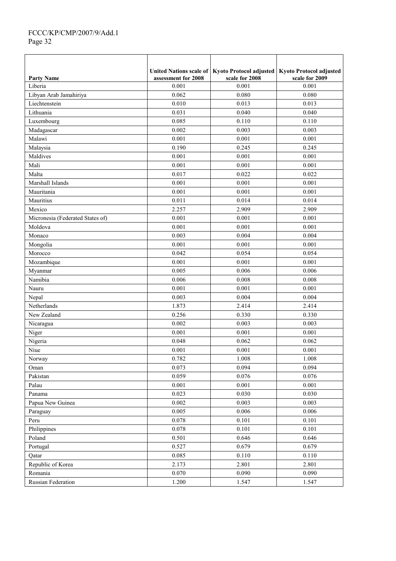### FCCC/KP/CMP/2007/9/Add.1 Page 32

|                                  | <b>United Nations scale of</b> | Kyoto Protocol adjusted | <b>Kyoto Protocol adjusted</b> |
|----------------------------------|--------------------------------|-------------------------|--------------------------------|
| <b>Party Name</b>                | assessment for 2008            | scale for 2008          | scale for 2009                 |
| Liberia                          | 0.001                          | 0.001                   | 0.001                          |
| Libyan Arab Jamahiriya           | 0.062                          | 0.080                   | 0.080                          |
| Liechtenstein                    | 0.010                          | 0.013                   | 0.013                          |
| Lithuania                        | 0.031                          | 0.040                   | 0.040                          |
| Luxembourg                       | 0.085                          | 0.110                   | 0.110                          |
| Madagascar                       | 0.002                          | 0.003                   | 0.003                          |
| Malawi                           | 0.001                          | 0.001                   | 0.001                          |
| Malaysia                         | 0.190                          | 0.245                   | 0.245                          |
| Maldives                         | 0.001                          | 0.001                   | 0.001                          |
| Mali                             | 0.001                          | 0.001                   | 0.001                          |
| Malta                            | 0.017                          | 0.022                   | 0.022                          |
| Marshall Islands                 | 0.001                          | 0.001                   | 0.001                          |
| Mauritania                       | 0.001                          | 0.001                   | 0.001                          |
| Mauritius                        | 0.011                          | 0.014                   | 0.014                          |
| Mexico                           | 2.257                          | 2.909                   | 2.909                          |
| Micronesia (Federated States of) | 0.001                          | 0.001                   | 0.001                          |
| Moldova                          | 0.001                          | 0.001                   | 0.001                          |
| Monaco                           | 0.003                          | 0.004                   | 0.004                          |
| Mongolia                         | 0.001                          | 0.001                   | 0.001                          |
| Morocco                          | 0.042                          | 0.054                   | 0.054                          |
| Mozambique                       | 0.001                          | 0.001                   | 0.001                          |
| Myanmar                          | 0.005                          | 0.006                   | 0.006                          |
| Namibia                          | 0.006                          | 0.008                   | 0.008                          |
| Nauru                            | 0.001                          | 0.001                   | 0.001                          |
| Nepal                            | 0.003                          | 0.004                   | 0.004                          |
| Netherlands                      | 1.873                          | 2.414                   | 2.414                          |
| New Zealand                      | 0.256                          | 0.330                   | 0.330                          |
| Nicaragua                        | 0.002                          | 0.003                   | 0.003                          |
| Niger                            | 0.001                          | 0.001                   | 0.001                          |
| Nigeria                          | 0.048                          | 0.062                   | 0.062                          |
| Niue                             | 0.001                          | 0.001                   | 0.001                          |
| Norway                           | 0.782                          | 1.008                   | 1.008                          |
|                                  |                                |                         | 0.094                          |
| Oman                             | 0.073<br>0.059                 | 0.094                   |                                |
| Pakistan                         |                                | 0.076                   | 0.076                          |
| Palau                            | 0.001                          | 0.001                   | 0.001                          |
| Panama                           | 0.023                          | 0.030                   | 0.030                          |
| Papua New Guinea                 | 0.002                          | 0.003                   | 0.003                          |
| Paraguay                         | 0.005                          | 0.006                   | 0.006                          |
| Peru                             | 0.078                          | 0.101                   | 0.101                          |
| Philippines                      | 0.078                          | 0.101                   | 0.101                          |
| Poland                           | 0.501                          | 0.646                   | 0.646                          |
| Portugal                         | 0.527                          | 0.679                   | 0.679                          |
| Qatar                            | 0.085                          | 0.110                   | 0.110                          |
| Republic of Korea                | 2.173                          | 2.801                   | 2.801                          |
| Romania                          | 0.070                          | 0.090                   | 0.090                          |
| Russian Federation               | 1.200                          | 1.547                   | 1.547                          |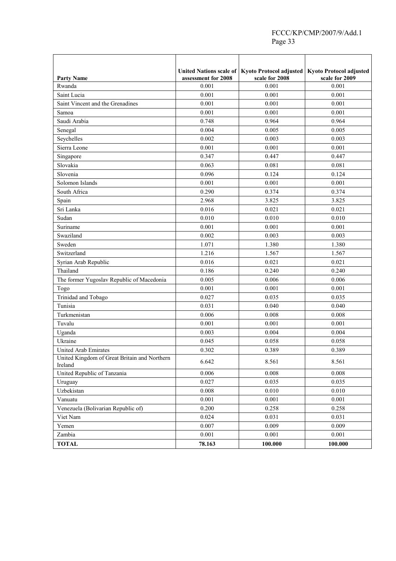|                                                         |                     | United Nations scale of   Kyoto Protocol adjusted | <b>Kyoto Protocol adjusted</b> |
|---------------------------------------------------------|---------------------|---------------------------------------------------|--------------------------------|
| <b>Party Name</b>                                       | assessment for 2008 | scale for 2008                                    | scale for 2009                 |
| Rwanda                                                  | 0.001               | 0.001                                             | 0.001                          |
| Saint Lucia                                             | 0.001               | 0.001                                             | 0.001                          |
| Saint Vincent and the Grenadines                        | 0.001               | 0.001                                             | 0.001                          |
| Samoa                                                   | 0.001               | 0.001                                             | 0.001                          |
| Saudi Arabia                                            | 0.748               | 0.964                                             | 0.964                          |
| Senegal                                                 | 0.004               | 0.005                                             | 0.005                          |
| Seychelles                                              | 0.002               | 0.003                                             | 0.003                          |
| Sierra Leone                                            | 0.001               | 0.001                                             | 0.001                          |
| Singapore                                               | 0.347               | 0.447                                             | 0.447                          |
| Slovakia                                                | 0.063               | 0.081                                             | 0.081                          |
| Slovenia                                                | 0.096               | 0.124                                             | 0.124                          |
| Solomon Islands                                         | 0.001               | 0.001                                             | 0.001                          |
| South Africa                                            | 0.290               | 0.374                                             | 0.374                          |
| Spain                                                   | 2.968               | 3.825                                             | 3.825                          |
| Sri Lanka                                               | 0.016               | 0.021                                             | 0.021                          |
| Sudan                                                   | 0.010               | 0.010                                             | 0.010                          |
| Suriname                                                | 0.001               | 0.001                                             | 0.001                          |
| Swaziland                                               | 0.002               | 0.003                                             | 0.003                          |
| Sweden                                                  | 1.071               | 1.380                                             | 1.380                          |
| Switzerland                                             | 1.216               | 1.567                                             | 1.567                          |
| Syrian Arab Republic                                    | 0.016               | 0.021                                             | 0.021                          |
| Thailand                                                | 0.186               | 0.240                                             | 0.240                          |
| The former Yugoslav Republic of Macedonia               | 0.005               | 0.006                                             | 0.006                          |
| Togo                                                    | 0.001               | 0.001                                             | 0.001                          |
| Trinidad and Tobago                                     | 0.027               | 0.035                                             | 0.035                          |
| Tunisia                                                 | 0.031               | 0.040                                             | 0.040                          |
| Turkmenistan                                            | 0.006               | 0.008                                             | 0.008                          |
| Tuvalu                                                  | 0.001               | 0.001                                             | 0.001                          |
| Uganda                                                  | 0.003               | 0.004                                             | 0.004                          |
| Ukraine                                                 | 0.045               | 0.058                                             | 0.058                          |
| <b>United Arab Emirates</b>                             | 0.302               | 0.389                                             | 0.389                          |
| United Kingdom of Great Britain and Northern<br>Ireland | 6.642               | 8.561                                             | 8.561                          |
| United Republic of Tanzania                             | 0.006               | 0.008                                             | 0.008                          |
| Uruguay                                                 | 0.027               | 0.035                                             | 0.035                          |
| Uzbekistan                                              | 0.008               | 0.010                                             | 0.010                          |
| Vanuatu                                                 | 0.001               | 0.001                                             | 0.001                          |
| Venezuela (Bolivarian Republic of)                      | 0.200               | 0.258                                             | 0.258                          |
| Viet Nam                                                | 0.024               | 0.031                                             | 0.031                          |
| Yemen                                                   | 0.007               | 0.009                                             | 0.009                          |
| Zambia                                                  | 0.001               | 0.001                                             | 0.001                          |
| <b>TOTAL</b>                                            | 78.163              | 100.000                                           | 100.000                        |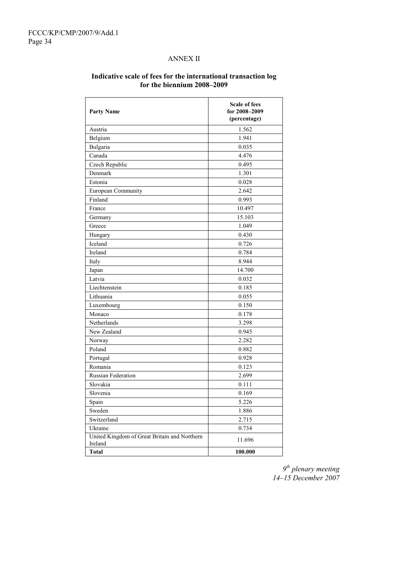### ANNEX II

| <b>Party Name</b>                                       | <b>Scale of fees</b><br>for 2008-2009<br>(percentage) |
|---------------------------------------------------------|-------------------------------------------------------|
| Austria                                                 | 1.562                                                 |
| Belgium                                                 | 1.941                                                 |
| Bulgaria                                                | 0.035                                                 |
| Canada                                                  | 4.476                                                 |
| Czech Republic                                          | 0.495                                                 |
| Denmark                                                 | 1.301                                                 |
| Estonia                                                 | 0.028                                                 |
| European Community                                      | 2.642                                                 |
| Finland                                                 | 0.993                                                 |
| France                                                  | 10.497                                                |
| Germany                                                 | 15.103                                                |
| Greece                                                  | 1.049                                                 |
| Hungary                                                 | 0.430                                                 |
| Iceland                                                 | 0.726                                                 |
| Ireland                                                 | 0.784                                                 |
| Italy                                                   | 8.944                                                 |
| Japan                                                   | 14.700                                                |
| Latvia                                                  | 0.032                                                 |
| Liechtenstein                                           | 0.185                                                 |
| Lithuania                                               | 0.055                                                 |
| Luxembourg                                              | 0.150                                                 |
| Monaco                                                  | 0.178                                                 |
| Netherlands                                             | 3.298                                                 |
| New Zealand                                             | 0.945                                                 |
| Norway                                                  | 2.282                                                 |
| Poland                                                  | 0.882                                                 |
| Portugal                                                | 0.928                                                 |
| Romania                                                 | 0.123                                                 |
| Russian Federation                                      | 2.699                                                 |
| Slovakia                                                | 0.111                                                 |
| Slovenia                                                | 0.169                                                 |
| Spain                                                   | 5.226                                                 |
| Sweden                                                  | 1.886                                                 |
| Switzerland                                             | 2.715                                                 |
| Ukraine                                                 | 0.734                                                 |
| United Kingdom of Great Britain and Northern<br>Ireland | 11.696                                                |
| <b>Total</b>                                            | 100.000                                               |

### **Indicative scale of fees for the international transaction log for the biennium 2008–2009**